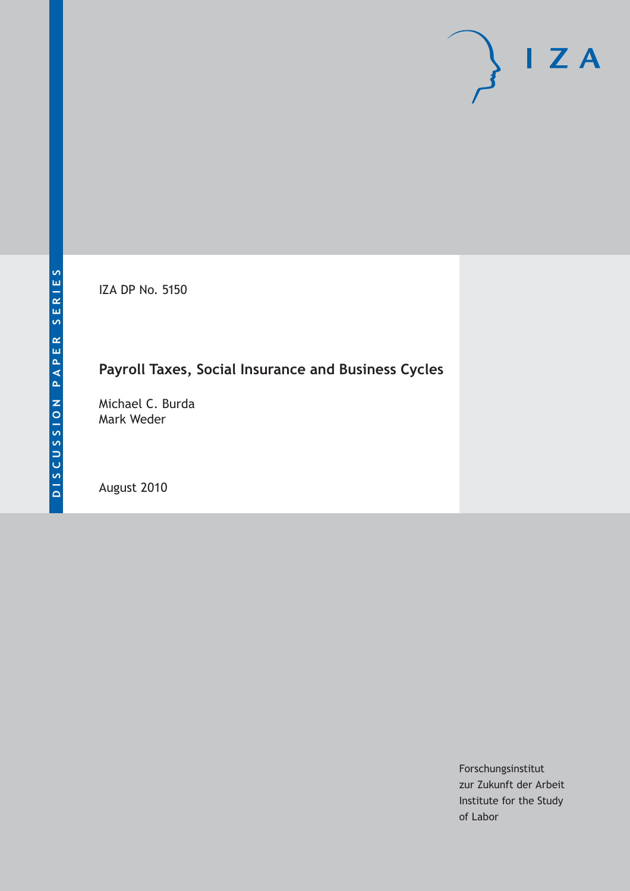IZA DP No. 5150

# **Payroll Taxes, Social Insurance and Business Cycles**

Michael C. Burda Mark Weder

August 2010

Forschungsinstitut zur Zukunft der Arbeit Institute for the Study of Labor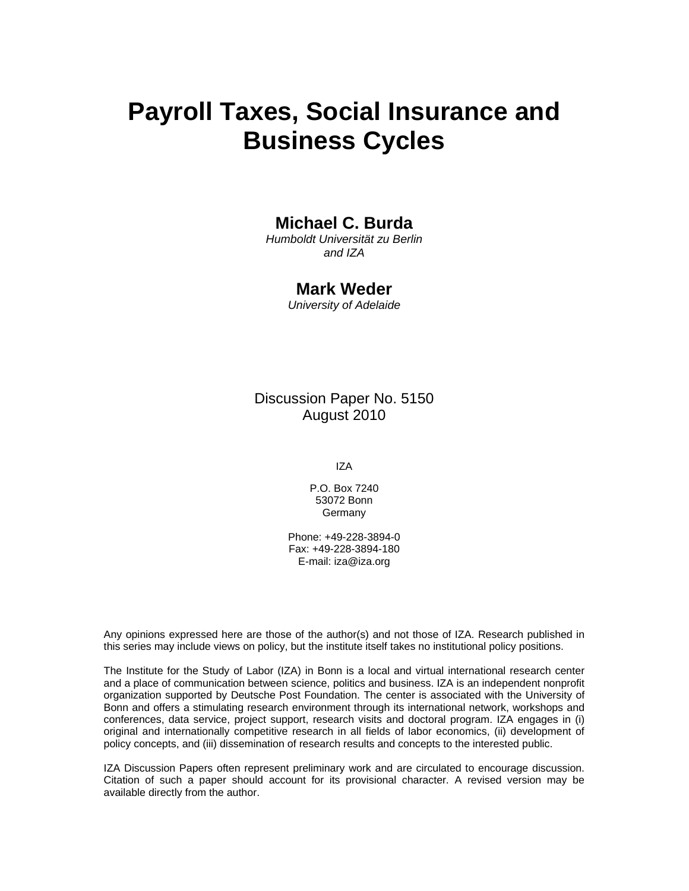# **Payroll Taxes, Social Insurance and Business Cycles**

### **Michael C. Burda**

*Humboldt Universität zu Berlin and IZA* 

#### **Mark Weder**

*University of Adelaide* 

Discussion Paper No. 5150 August 2010

IZA

P.O. Box 7240 53072 Bonn **Germany** 

Phone: +49-228-3894-0 Fax: +49-228-3894-180 E-mail: iza@iza.org

Any opinions expressed here are those of the author(s) and not those of IZA. Research published in this series may include views on policy, but the institute itself takes no institutional policy positions.

The Institute for the Study of Labor (IZA) in Bonn is a local and virtual international research center and a place of communication between science, politics and business. IZA is an independent nonprofit organization supported by Deutsche Post Foundation. The center is associated with the University of Bonn and offers a stimulating research environment through its international network, workshops and conferences, data service, project support, research visits and doctoral program. IZA engages in (i) original and internationally competitive research in all fields of labor economics, (ii) development of policy concepts, and (iii) dissemination of research results and concepts to the interested public.

IZA Discussion Papers often represent preliminary work and are circulated to encourage discussion. Citation of such a paper should account for its provisional character. A revised version may be available directly from the author.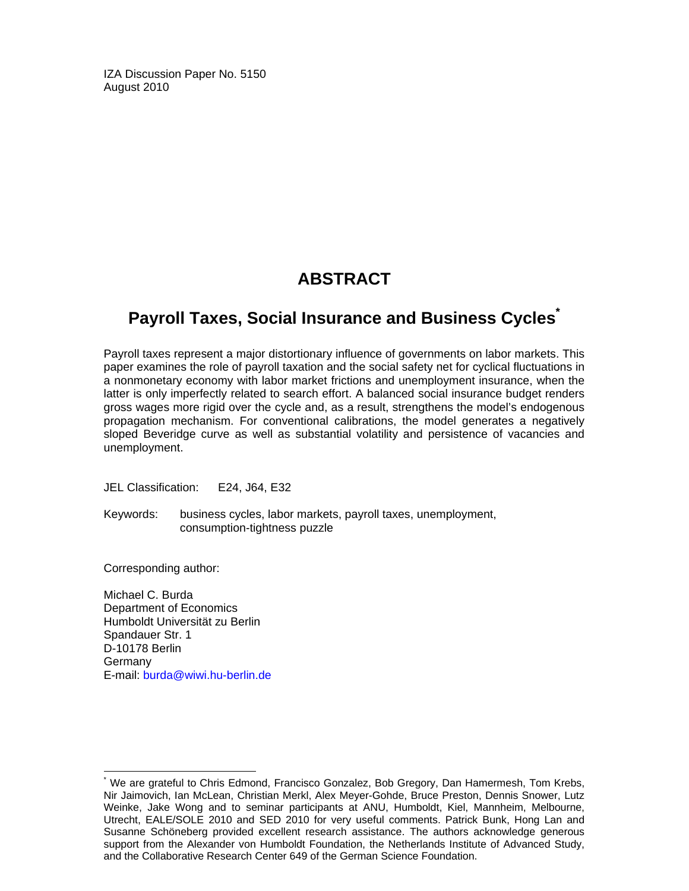IZA Discussion Paper No. 5150 August 2010

### **ABSTRACT**

### **Payroll Taxes, Social Insurance and Business Cycles\***

Payroll taxes represent a major distortionary influence of governments on labor markets. This paper examines the role of payroll taxation and the social safety net for cyclical fluctuations in a nonmonetary economy with labor market frictions and unemployment insurance, when the latter is only imperfectly related to search effort. A balanced social insurance budget renders gross wages more rigid over the cycle and, as a result, strengthens the model's endogenous propagation mechanism. For conventional calibrations, the model generates a negatively sloped Beveridge curve as well as substantial volatility and persistence of vacancies and unemployment.

JEL Classification: E24, J64, E32

Keywords: business cycles, labor markets, payroll taxes, unemployment, consumption-tightness puzzle

Corresponding author:

-

Michael C. Burda Department of Economics Humboldt Universität zu Berlin Spandauer Str. 1 D-10178 Berlin **Germany** E-mail: burda@wiwi.hu-berlin.de

<sup>\*</sup> We are grateful to Chris Edmond, Francisco Gonzalez, Bob Gregory, Dan Hamermesh, Tom Krebs, Nir Jaimovich, Ian McLean, Christian Merkl, Alex Meyer-Gohde, Bruce Preston, Dennis Snower, Lutz Weinke, Jake Wong and to seminar participants at ANU, Humboldt, Kiel, Mannheim, Melbourne, Utrecht, EALE/SOLE 2010 and SED 2010 for very useful comments. Patrick Bunk, Hong Lan and Susanne Schöneberg provided excellent research assistance. The authors acknowledge generous support from the Alexander von Humboldt Foundation, the Netherlands Institute of Advanced Study, and the Collaborative Research Center 649 of the German Science Foundation.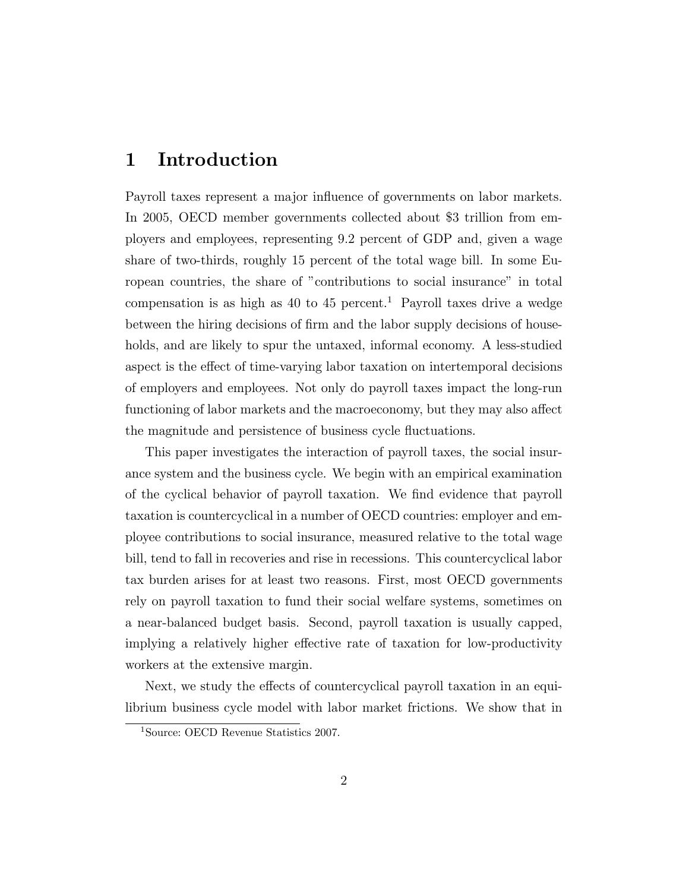### 1 Introduction

Payroll taxes represent a major influence of governments on labor markets. In 2005, OECD member governments collected about \$3 trillion from employers and employees, representing 9:2 percent of GDP and, given a wage share of two-thirds, roughly 15 percent of the total wage bill. In some European countries, the share of "contributions to social insurance" in total compensation is as high as 40 to 45 percent.<sup>1</sup> Payroll taxes drive a wedge between the hiring decisions of firm and the labor supply decisions of households, and are likely to spur the untaxed, informal economy. A less-studied aspect is the effect of time-varying labor taxation on intertemporal decisions of employers and employees. Not only do payroll taxes impact the long-run functioning of labor markets and the macroeconomy, but they may also affect the magnitude and persistence of business cycle 
uctuations.

This paper investigates the interaction of payroll taxes, the social insurance system and the business cycle. We begin with an empirical examination of the cyclical behavior of payroll taxation. We find evidence that payroll taxation is countercyclical in a number of OECD countries: employer and employee contributions to social insurance, measured relative to the total wage bill, tend to fall in recoveries and rise in recessions. This countercyclical labor tax burden arises for at least two reasons. First, most OECD governments rely on payroll taxation to fund their social welfare systems, sometimes on a near-balanced budget basis. Second, payroll taxation is usually capped, implying a relatively higher effective rate of taxation for low-productivity workers at the extensive margin.

Next, we study the effects of countercyclical payroll taxation in an equilibrium business cycle model with labor market frictions. We show that in

<sup>1</sup>Source: OECD Revenue Statistics 2007.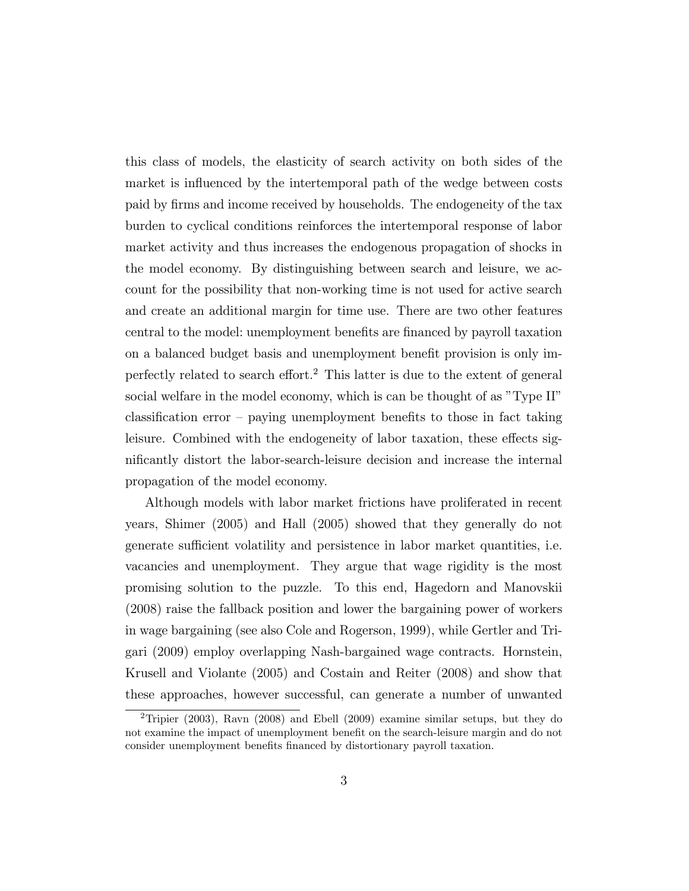this class of models, the elasticity of search activity on both sides of the market is influenced by the intertemporal path of the wedge between costs paid by firms and income received by households. The endogeneity of the tax burden to cyclical conditions reinforces the intertemporal response of labor market activity and thus increases the endogenous propagation of shocks in the model economy. By distinguishing between search and leisure, we account for the possibility that non-working time is not used for active search and create an additional margin for time use. There are two other features central to the model: unemployment benefits are financed by payroll taxation on a balanced budget basis and unemployment benet provision is only imperfectly related to search effort.<sup>2</sup> This latter is due to the extent of general social welfare in the model economy, which is can be thought of as "Type II"  $\alpha$  classification error  $-$  paying unemployment benefits to those in fact taking leisure. Combined with the endogeneity of labor taxation, these effects signicantly distort the labor-search-leisure decision and increase the internal propagation of the model economy.

Although models with labor market frictions have proliferated in recent years, Shimer (2005) and Hall (2005) showed that they generally do not generate sufficient volatility and persistence in labor market quantities, i.e. vacancies and unemployment. They argue that wage rigidity is the most promising solution to the puzzle. To this end, Hagedorn and Manovskii (2008) raise the fallback position and lower the bargaining power of workers in wage bargaining (see also Cole and Rogerson, 1999), while Gertler and Trigari (2009) employ overlapping Nash-bargained wage contracts. Hornstein, Krusell and Violante (2005) and Costain and Reiter (2008) and show that these approaches, however successful, can generate a number of unwanted

<sup>&</sup>lt;sup>2</sup>Tripier (2003), Ravn (2008) and Ebell (2009) examine similar setups, but they do not examine the impact of unemployment benefit on the search-leisure margin and do not consider unemployment benets nanced by distortionary payroll taxation.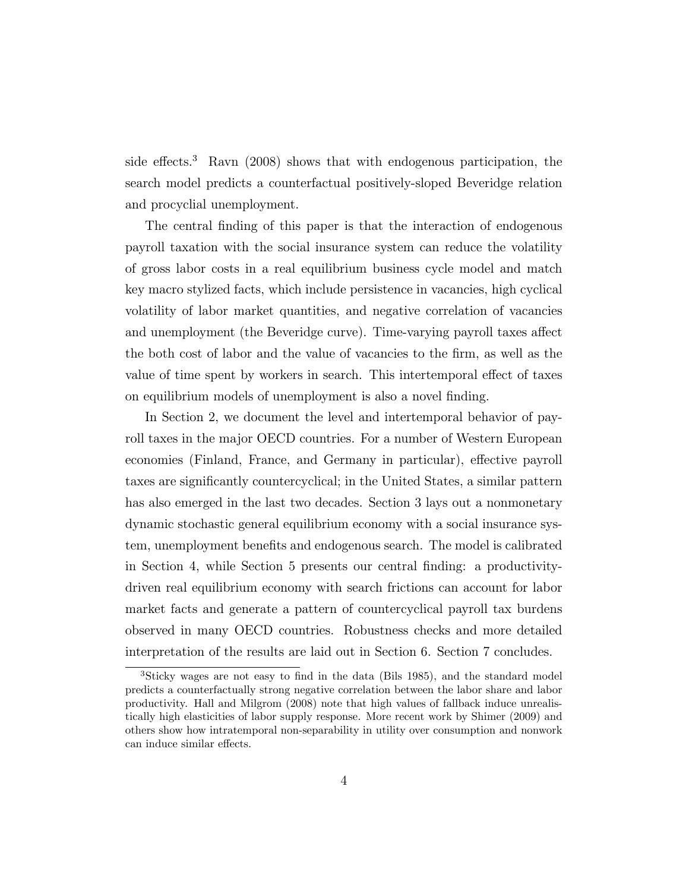side effects.<sup>3</sup> Ravn (2008) shows that with endogenous participation, the search model predicts a counterfactual positively-sloped Beveridge relation and procyclial unemployment.

The central finding of this paper is that the interaction of endogenous payroll taxation with the social insurance system can reduce the volatility of gross labor costs in a real equilibrium business cycle model and match key macro stylized facts, which include persistence in vacancies, high cyclical volatility of labor market quantities, and negative correlation of vacancies and unemployment (the Beveridge curve). Time-varying payroll taxes affect the both cost of labor and the value of vacancies to the firm, as well as the value of time spent by workers in search. This intertemporal effect of taxes on equilibrium models of unemployment is also a novel finding.

In Section 2, we document the level and intertemporal behavior of payroll taxes in the major OECD countries. For a number of Western European economies (Finland, France, and Germany in particular), effective payroll taxes are signicantly countercyclical; in the United States, a similar pattern has also emerged in the last two decades. Section 3 lays out a nonmonetary dynamic stochastic general equilibrium economy with a social insurance system, unemployment benets and endogenous search. The model is calibrated in Section 4, while Section 5 presents our central nding: a productivitydriven real equilibrium economy with search frictions can account for labor market facts and generate a pattern of countercyclical payroll tax burdens observed in many OECD countries. Robustness checks and more detailed interpretation of the results are laid out in Section 6. Section 7 concludes.

 ${}^{3}$ Sticky wages are not easy to find in the data (Bils 1985), and the standard model predicts a counterfactually strong negative correlation between the labor share and labor productivity. Hall and Milgrom (2008) note that high values of fallback induce unrealistically high elasticities of labor supply response. More recent work by Shimer (2009) and others show how intratemporal non-separability in utility over consumption and nonwork can induce similar effects.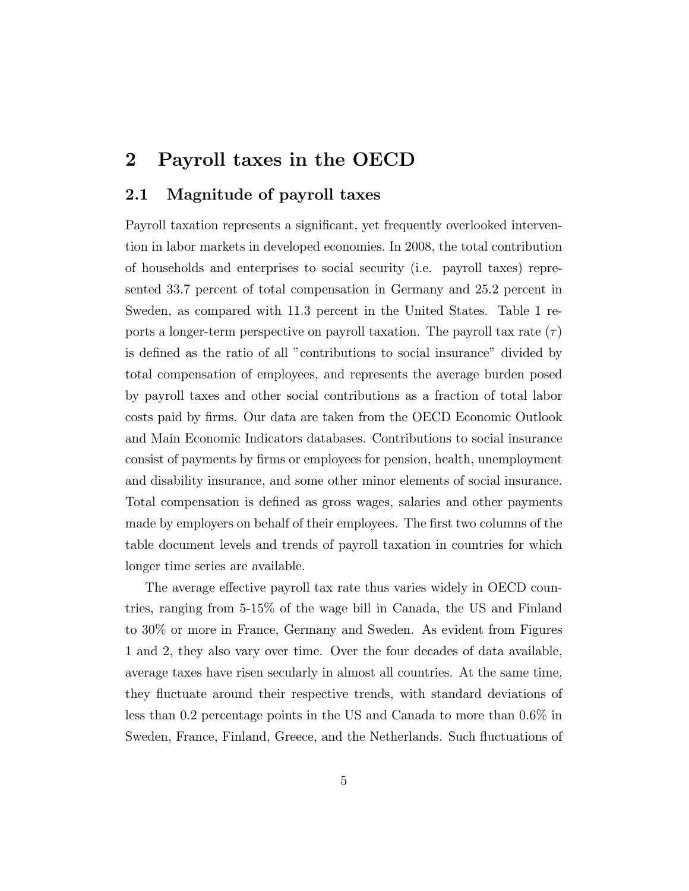### 2 Payroll taxes in the OECD

#### 2.1 Magnitude of payroll taxes

Payroll taxation represents a signicant, yet frequently overlooked intervention in labor markets in developed economies. In 2008, the total contribution of households and enterprises to social security (i.e. payroll taxes) represented 33.7 percent of total compensation in Germany and 25.2 percent in Sweden, as compared with 11.3 percent in the United States. Table 1 reports a longer-term perspective on payroll taxation. The payroll tax rate  $(\tau)$ is dened as the ratio of all "contributions to social insurance" divided by total compensation of employees, and represents the average burden posed by payroll taxes and other social contributions as a fraction of total labor costs paid by firms. Our data are taken from the OECD Economic Outlook and Main Economic Indicators databases. Contributions to social insurance consist of payments by firms or employees for pension, health, unemployment and disability insurance, and some other minor elements of social insurance. Total compensation is defined as gross wages, salaries and other payments made by employers on behalf of their employees. The first two columns of the table document levels and trends of payroll taxation in countries for which longer time series are available.

The average effective payroll tax rate thus varies widely in OECD countries, ranging from 5-15% of the wage bill in Canada, the US and Finland to 30% or more in France, Germany and Sweden. As evident from Figures 1 and 2, they also vary over time. Over the four decades of data available, average taxes have risen secularly in almost all countries. At the same time, they fluctuate around their respective trends, with standard deviations of less than 0.2 percentage points in the US and Canada to more than 0.6% in Sweden, France, Finland, Greece, and the Netherlands. Such 
uctuations of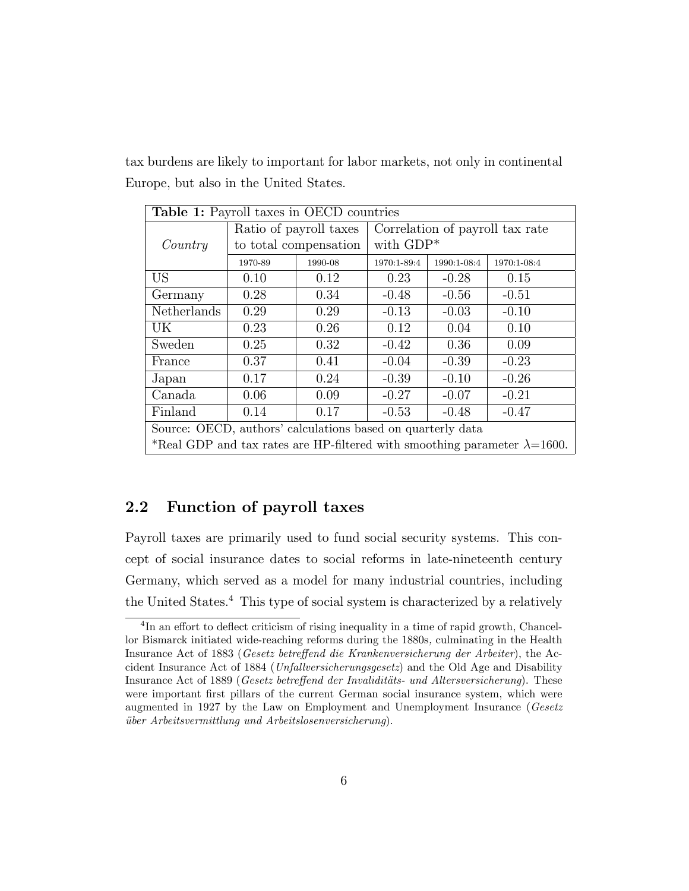tax burdens are likely to important for labor markets, not only in continental Europe, but also in the United States.

| <b>Table 1:</b> Payroll taxes in OECD countries                                   |                        |                       |                                 |             |             |
|-----------------------------------------------------------------------------------|------------------------|-----------------------|---------------------------------|-------------|-------------|
|                                                                                   | Ratio of payroll taxes |                       | Correlation of payroll tax rate |             |             |
| Country                                                                           |                        | to total compensation | with $GDP*$                     |             |             |
|                                                                                   | 1970-89                | 1990-08               | 1970:1-89:4                     | 1990:1-08:4 | 1970:1-08:4 |
| <b>US</b>                                                                         | 0.10                   | 0.12                  | 0.23                            | $-0.28$     | 0.15        |
| Germany                                                                           | 0.28                   | 0.34                  | $-0.48$                         | $-0.56$     | $-0.51$     |
| Netherlands                                                                       | 0.29                   | 0.29                  | $-0.13$                         | $-0.03$     | $-0.10$     |
| UK                                                                                | 0.23                   | 0.26                  | 0.12                            | 0.04        | 0.10        |
| Sweden                                                                            | 0.25                   | 0.32                  | $-0.42$                         | 0.36        | 0.09        |
| France                                                                            | 0.37                   | 0.41                  | $-0.04$                         | $-0.39$     | $-0.23$     |
| Japan                                                                             | 0.17                   | 0.24                  | $-0.39$                         | $-0.10$     | $-0.26$     |
| Canada                                                                            | 0.06                   | 0.09                  | $-0.27$                         | $-0.07$     | $-0.21$     |
| Finland<br>0.14<br>0.17<br>$-0.48$<br>$-0.47$<br>$-0.53$                          |                        |                       |                                 |             |             |
| Source: OECD, authors' calculations based on quarterly data                       |                        |                       |                                 |             |             |
| *Real GDP and tax rates are HP-filtered with smoothing parameter $\lambda=1600$ . |                        |                       |                                 |             |             |

#### 2.2 Function of payroll taxes

Payroll taxes are primarily used to fund social security systems. This concept of social insurance dates to social reforms in late-nineteenth century Germany, which served as a model for many industrial countries, including the United States.<sup>4</sup> This type of social system is characterized by a relatively

 ${}^{4}$ In an effort to deflect criticism of rising inequality in a time of rapid growth, Chancellor Bismarck initiated wide-reaching reforms during the 1880s, culminating in the Health Insurance Act of 1883 (Gesetz betreffend die Krankenversicherung der Arbeiter), the Accident Insurance Act of 1884 (Unfallversicherungsgesetz) and the Old Age and Disability Insurance Act of 1889 (Gesetz betreffend der Invaliditäts- und Altersversicherung). These were important first pillars of the current German social insurance system, which were augmented in 1927 by the Law on Employment and Unemployment Insurance (Gesetz uber Arbeitsvermittlung und Arbeitslosenversicherung).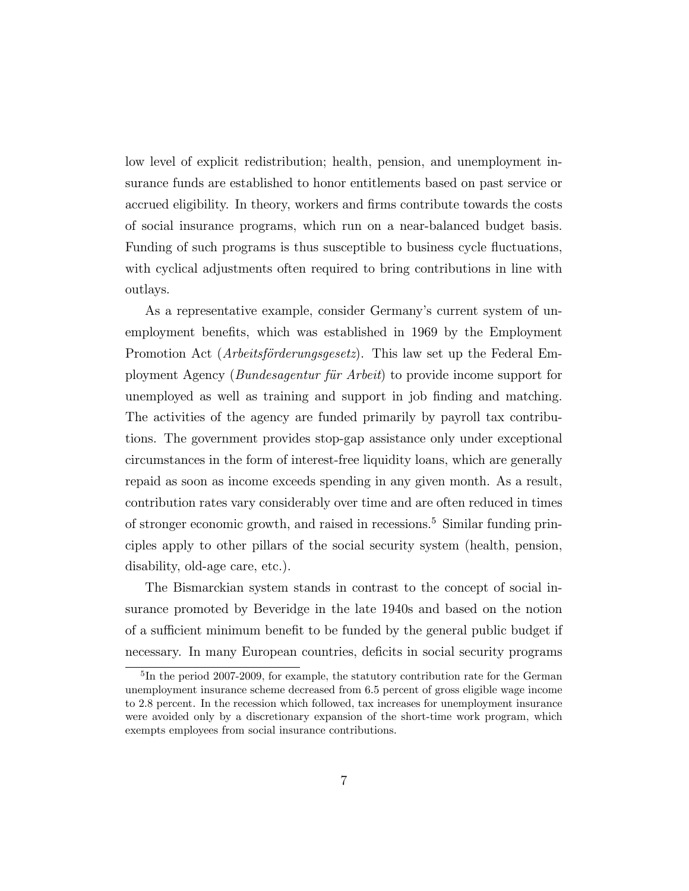low level of explicit redistribution; health, pension, and unemployment insurance funds are established to honor entitlements based on past service or accrued eligibility. In theory, workers and firms contribute towards the costs of social insurance programs, which run on a near-balanced budget basis. Funding of such programs is thus susceptible to business cycle fluctuations, with cyclical adjustments often required to bring contributions in line with outlays.

As a representative example, consider Germany's current system of unemployment benets, which was established in 1969 by the Employment Promotion Act (*Arbeitsförderungsgesetz*). This law set up the Federal Employment Agency (Bundesagentur fur Arbeit) to provide income support for unemployed as well as training and support in job finding and matching. The activities of the agency are funded primarily by payroll tax contributions. The government provides stop-gap assistance only under exceptional circumstances in the form of interest-free liquidity loans, which are generally repaid as soon as income exceeds spending in any given month. As a result, contribution rates vary considerably over time and are often reduced in times of stronger economic growth, and raised in recessions.<sup>5</sup> Similar funding principles apply to other pillars of the social security system (health, pension, disability, old-age care, etc.).

The Bismarckian system stands in contrast to the concept of social insurance promoted by Beveridge in the late 1940s and based on the notion of a sufficient minimum benefit to be funded by the general public budget if necessary. In many European countries, deficits in social security programs

<sup>&</sup>lt;sup>5</sup>In the period 2007-2009, for example, the statutory contribution rate for the German unemployment insurance scheme decreased from 6.5 percent of gross eligible wage income to 2.8 percent. In the recession which followed, tax increases for unemployment insurance were avoided only by a discretionary expansion of the short-time work program, which exempts employees from social insurance contributions.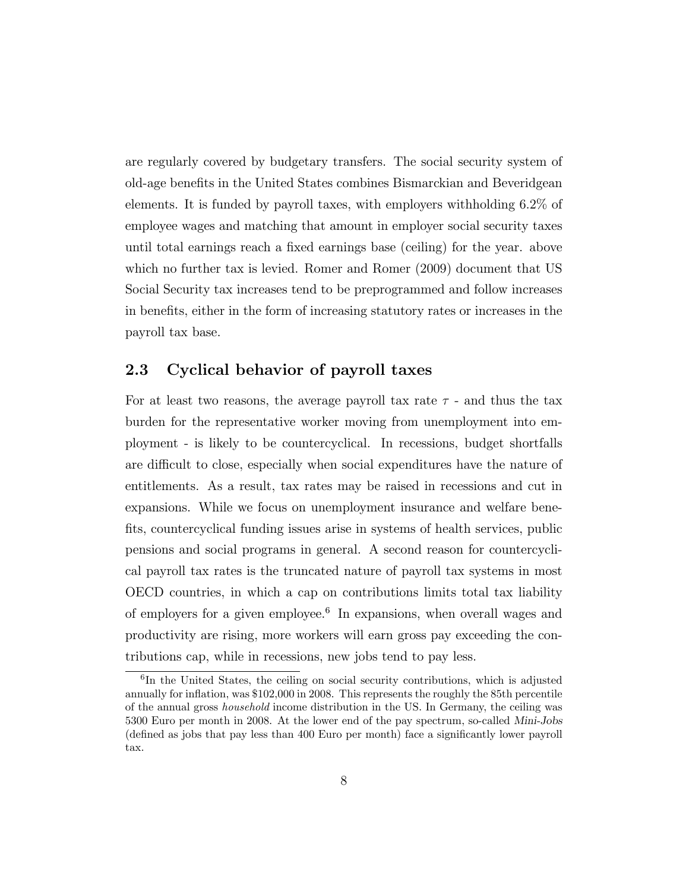are regularly covered by budgetary transfers. The social security system of old-age benets in the United States combines Bismarckian and Beveridgean elements. It is funded by payroll taxes, with employers withholding 6.2% of employee wages and matching that amount in employer social security taxes until total earnings reach a fixed earnings base (ceiling) for the year. above which no further tax is levied. Romer and Romer (2009) document that US Social Security tax increases tend to be preprogrammed and follow increases in benets, either in the form of increasing statutory rates or increases in the payroll tax base.

#### 2.3 Cyclical behavior of payroll taxes

For at least two reasons, the average payroll tax rate  $\tau$  - and thus the tax burden for the representative worker moving from unemployment into employment - is likely to be countercyclical. In recessions, budget shortfalls are difficult to close, especially when social expenditures have the nature of entitlements. As a result, tax rates may be raised in recessions and cut in expansions. While we focus on unemployment insurance and welfare bene fits, countercyclical funding issues arise in systems of health services, public pensions and social programs in general. A second reason for countercyclical payroll tax rates is the truncated nature of payroll tax systems in most OECD countries, in which a cap on contributions limits total tax liability of employers for a given employee.<sup>6</sup> In expansions, when overall wages and productivity are rising, more workers will earn gross pay exceeding the contributions cap, while in recessions, new jobs tend to pay less.

<sup>6</sup> In the United States, the ceiling on social security contributions, which is adjusted annually for inflation, was \$102,000 in 2008. This represents the roughly the 85th percentile of the annual gross household income distribution in the US. In Germany, the ceiling was 5300 Euro per month in 2008. At the lower end of the pay spectrum, so-called Mini-Jobs (dened as jobs that pay less than 400 Euro per month) face a signicantly lower payroll tax.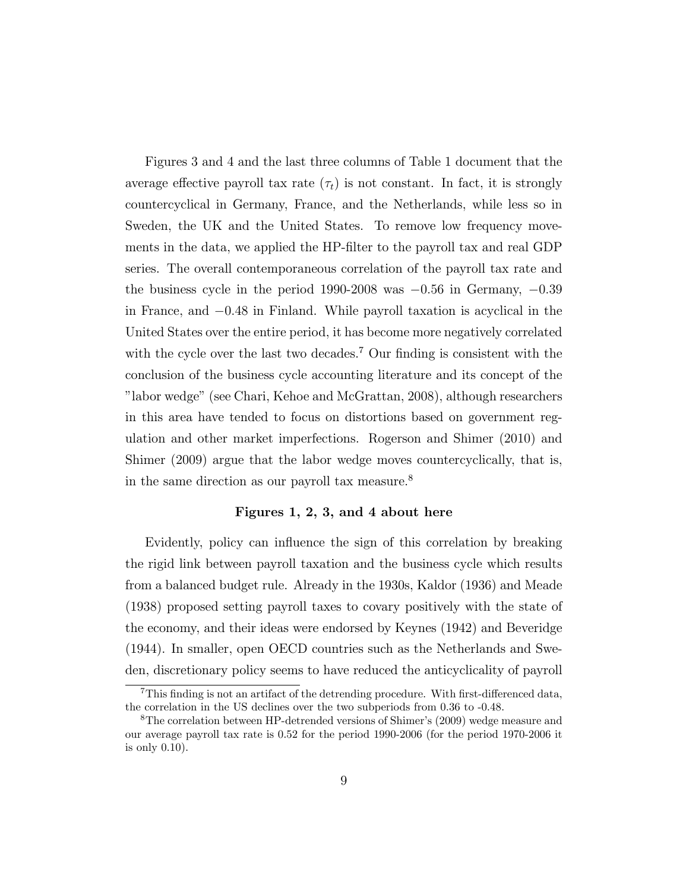Figures 3 and 4 and the last three columns of Table 1 document that the average effective payroll tax rate  $(\tau_t)$  is not constant. In fact, it is strongly countercyclical in Germany, France, and the Netherlands, while less so in Sweden, the UK and the United States. To remove low frequency movements in the data, we applied the HP-lter to the payroll tax and real GDP series. The overall contemporaneous correlation of the payroll tax rate and the business cycle in the period 1990-2008 was  $-0.56$  in Germany,  $-0.39$ in France, and  $-0.48$  in Finland. While payroll taxation is acyclical in the United States over the entire period, it has become more negatively correlated with the cycle over the last two decades.<sup>7</sup> Our finding is consistent with the conclusion of the business cycle accounting literature and its concept of the "labor wedge" (see Chari, Kehoe and McGrattan, 2008), although researchers in this area have tended to focus on distortions based on government regulation and other market imperfections. Rogerson and Shimer (2010) and Shimer (2009) argue that the labor wedge moves countercyclically, that is, in the same direction as our payroll tax measure.<sup>8</sup>

#### Figures 1, 2, 3, and 4 about here

Evidently, policy can influence the sign of this correlation by breaking the rigid link between payroll taxation and the business cycle which results from a balanced budget rule. Already in the 1930s, Kaldor (1936) and Meade (1938) proposed setting payroll taxes to covary positively with the state of the economy, and their ideas were endorsed by Keynes (1942) and Beveridge (1944). In smaller, open OECD countries such as the Netherlands and Sweden, discretionary policy seems to have reduced the anticyclicality of payroll

 $7$ This finding is not an artifact of the detrending procedure. With first-differenced data, the correlation in the US declines over the two subperiods from 0.36 to -0.48.

<sup>8</sup>The correlation between HP-detrended versions of Shimer's (2009) wedge measure and our average payroll tax rate is 0.52 for the period 1990-2006 (for the period 1970-2006 it is only 0.10).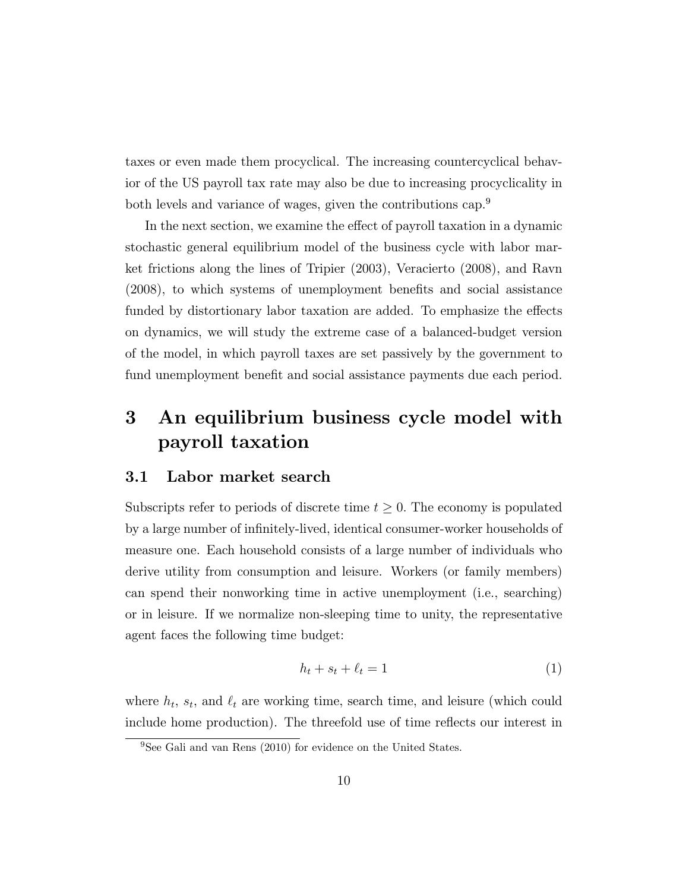taxes or even made them procyclical. The increasing countercyclical behavior of the US payroll tax rate may also be due to increasing procyclicality in both levels and variance of wages, given the contributions cap.<sup>9</sup>

In the next section, we examine the effect of payroll taxation in a dynamic stochastic general equilibrium model of the business cycle with labor market frictions along the lines of Tripier (2003), Veracierto (2008), and Ravn (2008), to which systems of unemployment benets and social assistance funded by distortionary labor taxation are added. To emphasize the effects on dynamics, we will study the extreme case of a balanced-budget version of the model, in which payroll taxes are set passively by the government to fund unemployment benefit and social assistance payments due each period.

# 3 An equilibrium business cycle model with payroll taxation

#### 3.1 Labor market search

Subscripts refer to periods of discrete time  $t \geq 0$ . The economy is populated by a large number of infinitely-lived, identical consumer-worker households of measure one. Each household consists of a large number of individuals who derive utility from consumption and leisure. Workers (or family members) can spend their nonworking time in active unemployment (i.e., searching) or in leisure. If we normalize non-sleeping time to unity, the representative agent faces the following time budget:

$$
h_t + s_t + \ell_t = 1 \tag{1}
$$

where  $h_t$ ,  $s_t$ , and  $\ell_t$  are working time, search time, and leisure (which could include home production). The threefold use of time reflects our interest in

<sup>9</sup>See Gali and van Rens (2010) for evidence on the United States.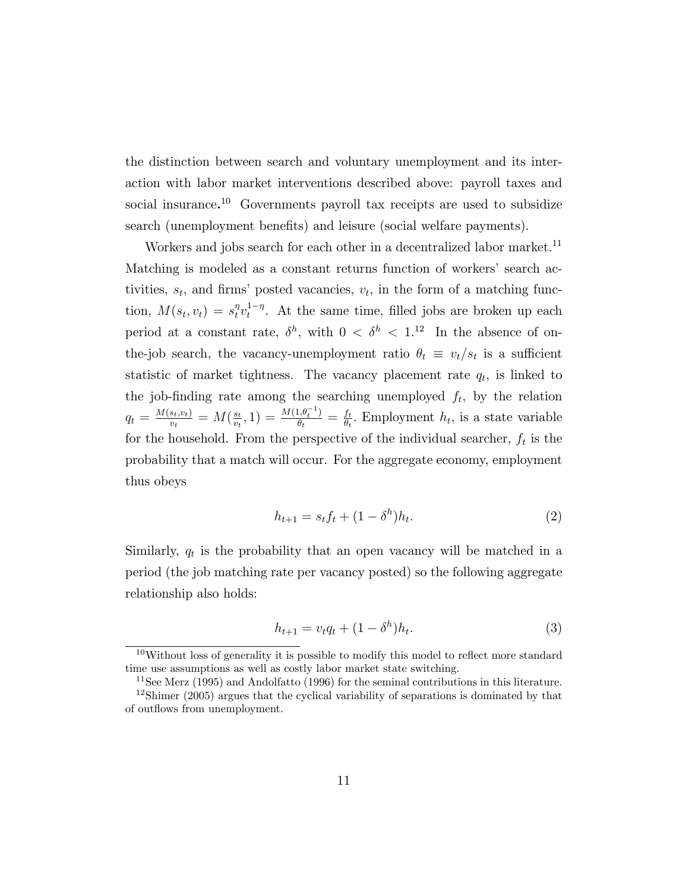the distinction between search and voluntary unemployment and its interaction with labor market interventions described above: payroll taxes and social insurance. <sup>10</sup> Governments payroll tax receipts are used to subsidize search (unemployment benefits) and leisure (social welfare payments).

Workers and jobs search for each other in a decentralized labor market.<sup>11</sup> Matching is modeled as a constant returns function of workers' search activities,  $s_t$ , and firms' posted vacancies,  $v_t$ , in the form of a matching function,  $M(s_t, v_t) = s_t^{\eta} v_t^{1-\eta}$ . At the same time, filled jobs are broken up each period at a constant rate,  $\delta^h$ , with  $0 < \delta^h < 1$ .<sup>12</sup> In the absence of onthe-job search, the vacancy-unemployment ratio  $\theta_t \equiv v_t/s_t$  is a sufficient statistic of market tightness. The vacancy placement rate  $q_t$ , is linked to the job-finding rate among the searching unemployed  $f_t$ , by the relation  $q_t = \frac{M(s_t,v_t)}{v_t}$  $\frac{s_t,v_t)}{v_t} = M(\frac{s_t}{v_t})$  $\frac{s_t}{v_t}, 1) = \frac{M(1, \theta_t^{-1})}{\theta_t}$  $\frac{\partial f_t(\theta_t^{-1})}{\partial t} = \frac{f_t}{\theta_t}$  $\frac{f_t}{\theta_t}$ . Employment  $h_t$ , is a state variable for the household. From the perspective of the individual searcher,  $f_t$  is the probability that a match will occur. For the aggregate economy, employment thus obeys

$$
h_{t+1} = s_t f_t + (1 - \delta^h) h_t.
$$
 (2)

Similarly,  $q_t$  is the probability that an open vacancy will be matched in a period (the job matching rate per vacancy posted) so the following aggregate relationship also holds:

$$
h_{t+1} = v_t q_t + (1 - \delta^h) h_t.
$$
\n(3)

 $10$ Without loss of generality it is possible to modify this model to reflect more standard time use assumptions as well as costly labor market state switching.

<sup>&</sup>lt;sup>11</sup>See Merz (1995) and Andolfatto (1996) for the seminal contributions in this literature.  $12\text{Shimer}$  (2005) argues that the cyclical variability of separations is dominated by that of outflows from unemployment.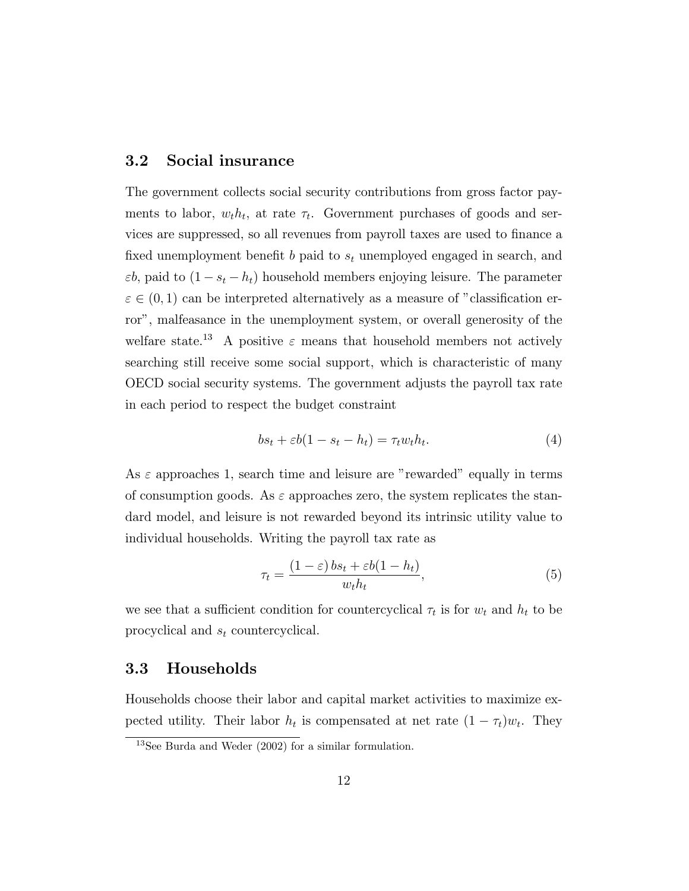#### 3.2 Social insurance

The government collects social security contributions from gross factor payments to labor,  $w_t h_t$ , at rate  $\tau_t$ . Government purchases of goods and services are suppressed, so all revenues from payroll taxes are used to finance a fixed unemployment benefit  $b$  paid to  $s_t$  unemployed engaged in search, and  $\varepsilon b$ , paid to  $(1 - s_t - h_t)$  household members enjoying leisure. The parameter  $\varepsilon \in (0,1)$  can be interpreted alternatively as a measure of "classification error", malfeasance in the unemployment system, or overall generosity of the welfare state.<sup>13</sup> A positive  $\varepsilon$  means that household members not actively searching still receive some social support, which is characteristic of many OECD social security systems. The government adjusts the payroll tax rate in each period to respect the budget constraint

$$
bs_t + \varepsilon b(1 - s_t - h_t) = \tau_t w_t h_t.
$$
\n<sup>(4)</sup>

As  $\varepsilon$  approaches 1, search time and leisure are "rewarded" equally in terms of consumption goods. As  $\varepsilon$  approaches zero, the system replicates the standard model, and leisure is not rewarded beyond its intrinsic utility value to individual households. Writing the payroll tax rate as

$$
\tau_t = \frac{(1 - \varepsilon)bs_t + \varepsilon b(1 - h_t)}{w_t h_t},\tag{5}
$$

we see that a sufficient condition for countercyclical  $\tau_t$  is for  $w_t$  and  $h_t$  to be procyclical and  $s_t$  countercyclical.

#### 3.3 Households

Households choose their labor and capital market activities to maximize expected utility. Their labor  $h_t$  is compensated at net rate  $(1 - \tau_t)w_t$ . They

<sup>13</sup>See Burda and Weder (2002) for a similar formulation.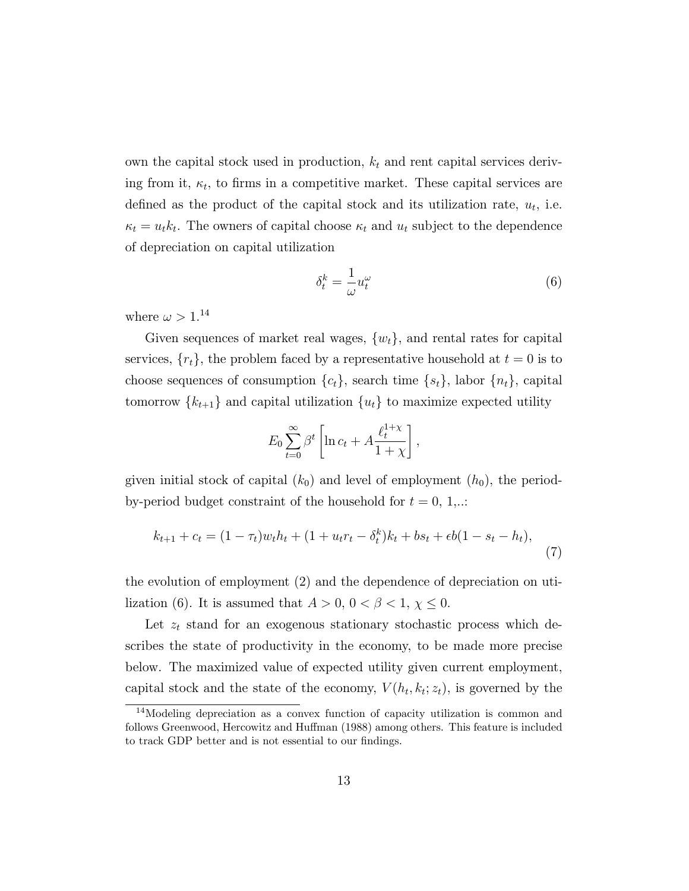own the capital stock used in production,  $k_t$  and rent capital services deriving from it,  $\kappa_t$ , to firms in a competitive market. These capital services are defined as the product of the capital stock and its utilization rate,  $u_t$ , i.e.  $\kappa_t = u_t k_t$ . The owners of capital choose  $\kappa_t$  and  $u_t$  subject to the dependence of depreciation on capital utilization

$$
\delta_t^k = -\frac{1}{\omega} u_t^\omega \tag{6}
$$

where  $\omega > 1$ .<sup>14</sup>

Given sequences of market real wages,  $\{w_t\}$ , and rental rates for capital services,  $\{r_t\}$ , the problem faced by a representative household at  $t = 0$  is to choose sequences of consumption  $\{c_t\}$ , search time  $\{s_t\}$ , labor  $\{n_t\}$ , capital tomorrow  $\{k_{t+1}\}\$  and capital utilization  $\{u_t\}\$ to maximize expected utility

$$
E_0 \sum_{t=0}^{\infty} \beta^t \left[ \ln c_t + A \frac{\ell_t^{1+\chi}}{1+\chi} \right],
$$

given initial stock of capital  $(k_0)$  and level of employment  $(h_0)$ , the periodby-period budget constraint of the household for  $t = 0, 1,...$ 

$$
k_{t+1} + c_t = (1 - \tau_t)w_t h_t + (1 + u_t r_t - \delta_t^k) k_t + b s_t + \epsilon b (1 - s_t - h_t),
$$
\n(7)

the evolution of employment (2) and the dependence of depreciation on utilization (6). It is assumed that  $A > 0$ ,  $0 < \beta < 1$ ,  $\chi \leq 0$ .

Let  $z_t$  stand for an exogenous stationary stochastic process which describes the state of productivity in the economy, to be made more precise below. The maximized value of expected utility given current employment, capital stock and the state of the economy,  $V(h_t, k_t; z_t)$ , is governed by the

<sup>14</sup>Modeling depreciation as a convex function of capacity utilization is common and follows Greenwood, Hercowitz and Huffman (1988) among others. This feature is included to track GDP better and is not essential to our findings.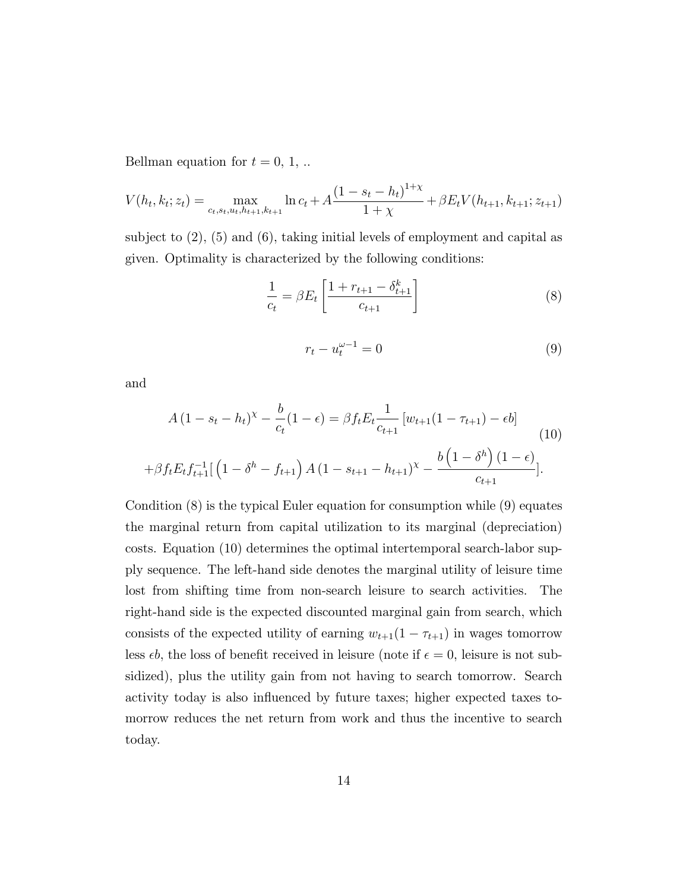Bellman equation for  $t = 0, 1, ...$ 

$$
V(h_t, k_t; z_t) = \max_{c_t, s_t, u_t, h_{t+1}, k_{t+1}} \ln c_t + A \frac{(1 - s_t - h_t)^{1 + \chi}}{1 + \chi} + \beta E_t V(h_{t+1}, k_{t+1}; z_{t+1})
$$

subject to  $(2)$ ,  $(5)$  and  $(6)$ , taking initial levels of employment and capital as given. Optimality is characterized by the following conditions:

$$
\frac{1}{c_t} = \beta E_t \left[ \frac{1 + r_{t+1} - \delta_{t+1}^k}{c_{t+1}} \right]
$$
\n(8)

$$
r_t - u_t^{\omega - 1} = 0 \tag{9}
$$

and

$$
A (1 - s_t - h_t)^{\chi} - \frac{b}{c_t} (1 - \epsilon) = \beta f_t E_t \frac{1}{c_{t+1}} [w_{t+1} (1 - \tau_{t+1}) - \epsilon b]
$$
  
+ 
$$
\beta f_t E_t f_{t+1}^{-1} [ (1 - \delta^h - f_{t+1}) A (1 - s_{t+1} - h_{t+1})^{\chi} - \frac{b (1 - \delta^h) (1 - \epsilon)}{c_{t+1}} ].
$$
 (10)

Condition (8) is the typical Euler equation for consumption while (9) equates the marginal return from capital utilization to its marginal (depreciation) costs. Equation (10) determines the optimal intertemporal search-labor supply sequence. The left-hand side denotes the marginal utility of leisure time lost from shifting time from non-search leisure to search activities. The right-hand side is the expected discounted marginal gain from search, which consists of the expected utility of earning  $w_{t+1}(1 - \tau_{t+1})$  in wages tomorrow less  $\epsilon b$ , the loss of benefit received in leisure (note if  $\epsilon = 0$ , leisure is not subsidized), plus the utility gain from not having to search tomorrow. Search activity today is also in
uenced by future taxes; higher expected taxes tomorrow reduces the net return from work and thus the incentive to search today.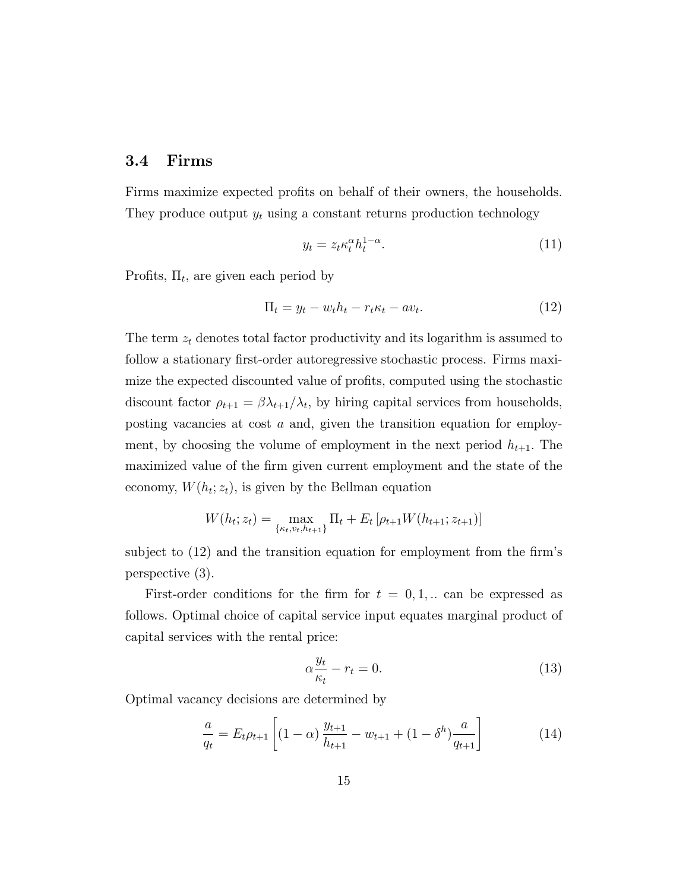#### 3.4 Firms

Firms maximize expected profits on behalf of their owners, the households. They produce output  $y_t$  using a constant returns production technology

$$
y_t = z_t \kappa_t^{\alpha} h_t^{1-\alpha}.
$$
 (11)

Profits,  $\Pi_t$ , are given each period by

$$
\Pi_t = y_t - w_t h_t - r_t \kappa_t - av_t. \tag{12}
$$

The term  $z_t$  denotes total factor productivity and its logarithm is assumed to follow a stationary first-order autoregressive stochastic process. Firms maximize the expected discounted value of profits, computed using the stochastic discount factor  $\rho_{t+1} = \beta \lambda_{t+1}/\lambda_t$ , by hiring capital services from households, posting vacancies at cost  $a$  and, given the transition equation for employment, by choosing the volume of employment in the next period  $h_{t+1}$ . The maximized value of the firm given current employment and the state of the economy,  $W(h_t; z_t)$ , is given by the Bellman equation

$$
W(h_t; z_t) = \max_{\{\kappa_t, v_t, h_{t+1}\}} \Pi_t + E_t \left[ \rho_{t+1} W(h_{t+1}; z_{t+1}) \right]
$$

subject to  $(12)$  and the transition equation for employment from the firm's perspective (3).

First-order conditions for the firm for  $t = 0, 1, ...$  can be expressed as follows. Optimal choice of capital service input equates marginal product of capital services with the rental price:

$$
\alpha \frac{y_t}{\kappa_t} - r_t = 0. \tag{13}
$$

Optimal vacancy decisions are determined by

$$
\frac{a}{q_t} = E_t \rho_{t+1} \left[ (1 - \alpha) \frac{y_{t+1}}{h_{t+1}} - w_{t+1} + (1 - \delta^h) \frac{a}{q_{t+1}} \right] \tag{14}
$$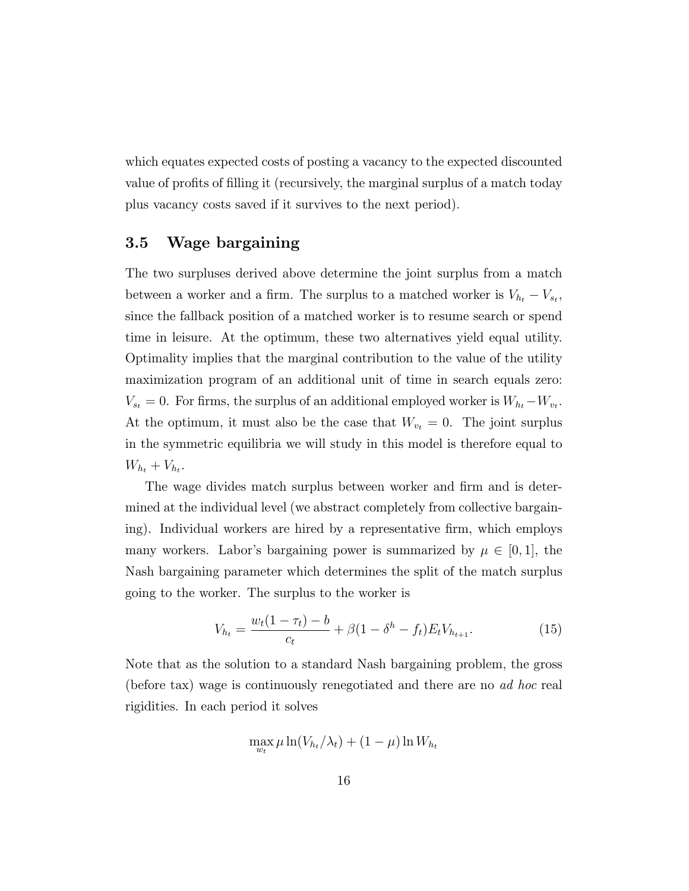which equates expected costs of posting a vacancy to the expected discounted value of profits of filling it (recursively, the marginal surplus of a match today plus vacancy costs saved if it survives to the next period).

#### 3.5 Wage bargaining

The two surpluses derived above determine the joint surplus from a match between a worker and a firm. The surplus to a matched worker is  $V_{h_t} - V_{s_t}$ , since the fallback position of a matched worker is to resume search or spend time in leisure. At the optimum, these two alternatives yield equal utility. Optimality implies that the marginal contribution to the value of the utility maximization program of an additional unit of time in search equals zero:  $V_{s_t} = 0$ . For firms, the surplus of an additional employed worker is  $W_{h_t} - W_{v_t}$ . At the optimum, it must also be the case that  $W_{v_t} = 0$ . The joint surplus in the symmetric equilibria we will study in this model is therefore equal to  $W_{h_t} + V_{h_t}.$ 

The wage divides match surplus between worker and firm and is determined at the individual level (we abstract completely from collective bargaining). Individual workers are hired by a representative firm, which employs many workers. Labor's bargaining power is summarized by  $\mu \in [0, 1]$ , the Nash bargaining parameter which determines the split of the match surplus going to the worker. The surplus to the worker is

$$
V_{h_t} = \frac{w_t(1 - \tau_t) - b}{c_t} + \beta(1 - \delta^h - f_t)E_t V_{h_{t+1}}.
$$
\n(15)

Note that as the solution to a standard Nash bargaining problem, the gross (before tax) wage is continuously renegotiated and there are no ad hoc real rigidities. In each period it solves

$$
\max_{w_t} \mu \ln(V_{h_t}/\lambda_t) + (1 - \mu) \ln W_{h_t}
$$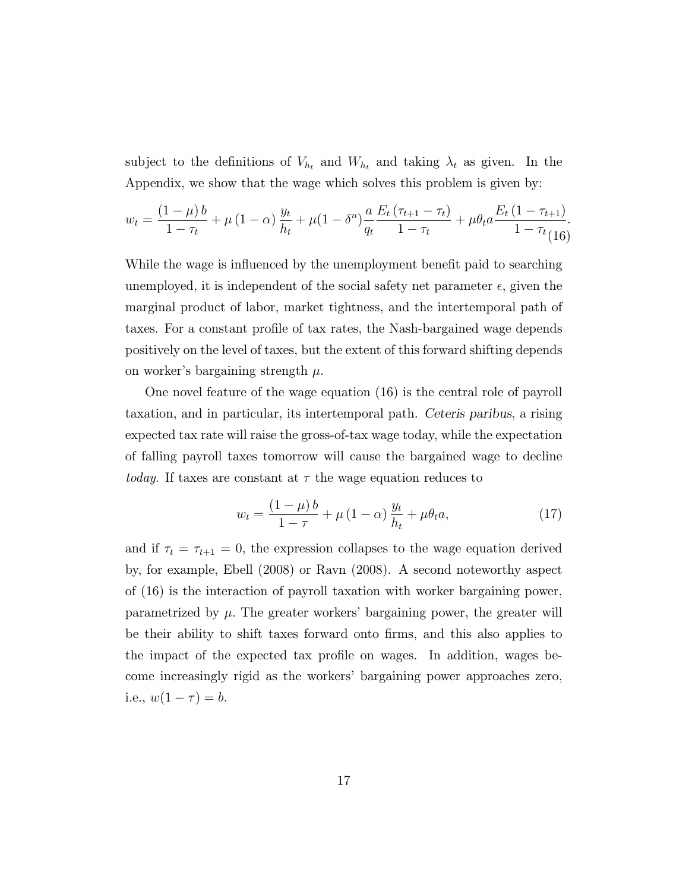subject to the definitions of  $V_{h_t}$  and  $W_{h_t}$  and taking  $\lambda_t$  as given. In the Appendix, we show that the wage which solves this problem is given by:

$$
w_t = \frac{(1-\mu)b}{1-\tau_t} + \mu(1-\alpha)\frac{y_t}{h_t} + \mu(1-\delta^n)\frac{a}{q_t}\frac{E_t(\tau_{t+1}-\tau_t)}{1-\tau_t} + \mu\theta_t a \frac{E_t(1-\tau_{t+1})}{1-\tau_t}.
$$

While the wage is influenced by the unemployment benefit paid to searching unemployed, it is independent of the social safety net parameter  $\epsilon$ , given the marginal product of labor, market tightness, and the intertemporal path of taxes. For a constant prole of tax rates, the Nash-bargained wage depends positively on the level of taxes, but the extent of this forward shifting depends on worker's bargaining strength  $\mu$ .

One novel feature of the wage equation (16) is the central role of payroll taxation, and in particular, its intertemporal path. Ceteris paribus, a rising expected tax rate will raise the gross-of-tax wage today, while the expectation of falling payroll taxes tomorrow will cause the bargained wage to decline *today*. If taxes are constant at  $\tau$  the wage equation reduces to

$$
w_t = \frac{(1 - \mu)b}{1 - \tau} + \mu (1 - \alpha) \frac{y_t}{h_t} + \mu \theta_t a,\tag{17}
$$

and if  $\tau_t = \tau_{t+1} = 0$ , the expression collapses to the wage equation derived by, for example, Ebell (2008) or Ravn (2008). A second noteworthy aspect of (16) is the interaction of payroll taxation with worker bargaining power, parametrized by  $\mu$ . The greater workers' bargaining power, the greater will be their ability to shift taxes forward onto firms, and this also applies to the impact of the expected tax prole on wages. In addition, wages become increasingly rigid as the workers' bargaining power approaches zero, i.e.,  $w(1 - \tau) = b$ .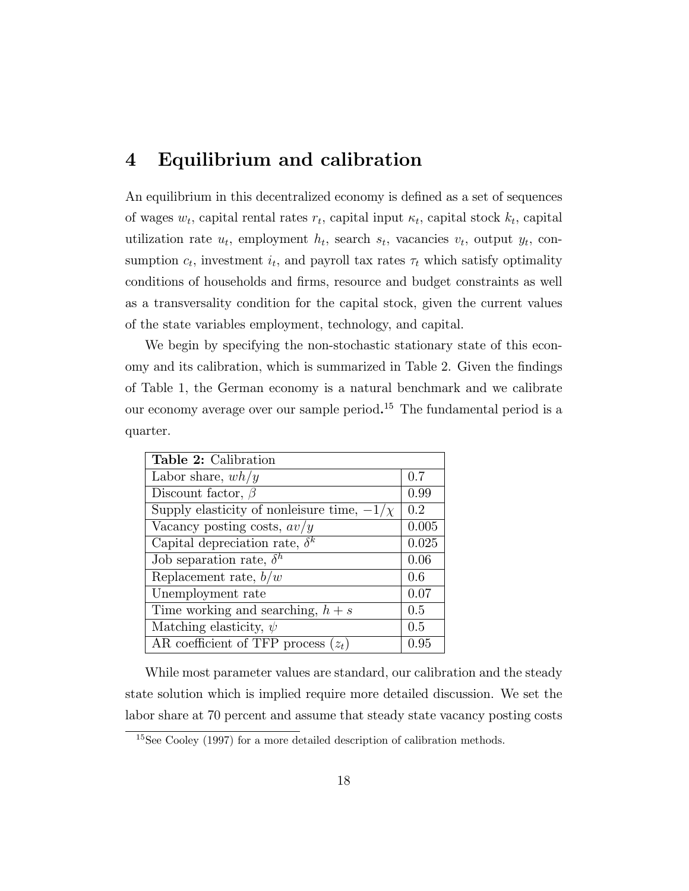### 4 Equilibrium and calibration

An equilibrium in this decentralized economy is defined as a set of sequences of wages  $w_t$ , capital rental rates  $r_t$ , capital input  $\kappa_t$ , capital stock  $k_t$ , capital utilization rate  $u_t$ , employment  $h_t$ , search  $s_t$ , vacancies  $v_t$ , output  $y_t$ , consumption  $c_t$ , investment  $i_t$ , and payroll tax rates  $\tau_t$  which satisfy optimality conditions of households and firms, resource and budget constraints as well as a transversality condition for the capital stock, given the current values of the state variables employment, technology, and capital.

We begin by specifying the non-stochastic stationary state of this economy and its calibration, which is summarized in Table 2. Given the findings of Table 1, the German economy is a natural benchmark and we calibrate our economy average over our sample period.<sup>15</sup> The fundamental period is a quarter.

| <b>Table 2:</b> Calibration                     |       |
|-------------------------------------------------|-------|
| Labor share, $wh/y$                             | 0.7   |
| Discount factor, $\beta$                        | 0.99  |
| Supply elasticity of nonleisure time, $-1/\chi$ | 0.2   |
| Vacancy posting costs, $av/y$                   | 0.005 |
| Capital depreciation rate, $\delta^k$           | 0.025 |
| Job separation rate, $\delta^h$                 | 0.06  |
| Replacement rate, $b/w$                         | 0.6   |
| Unemployment rate                               | 0.07  |
| Time working and searching, $h + s$             | 0.5   |
| Matching elasticity, $\psi$                     | 0.5   |
| AR coefficient of TFP process $(z_t)$           | 0.95  |

While most parameter values are standard, our calibration and the steady state solution which is implied require more detailed discussion. We set the labor share at 70 percent and assume that steady state vacancy posting costs

<sup>15</sup>See Cooley (1997) for a more detailed description of calibration methods.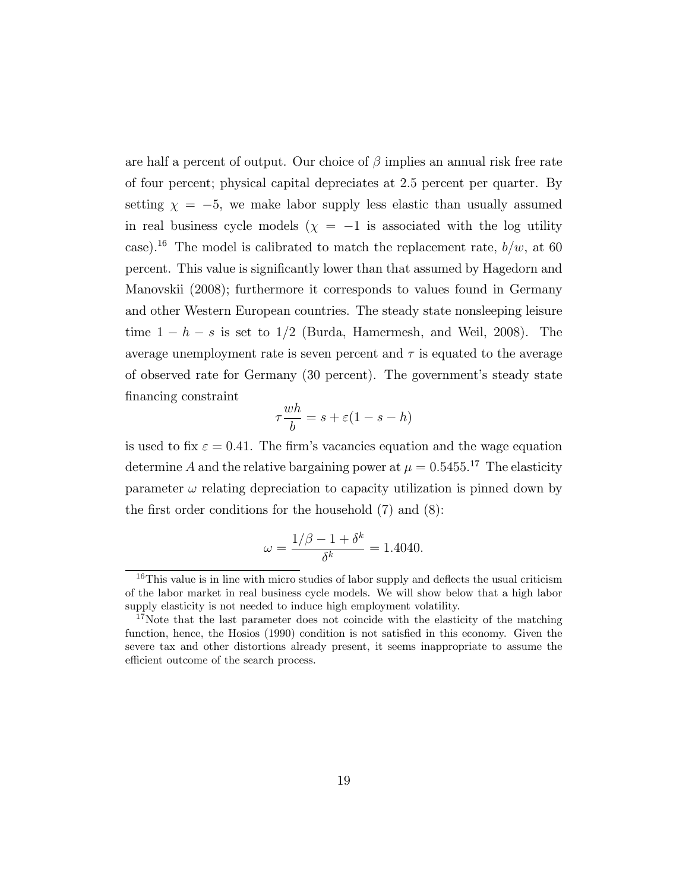are half a percent of output. Our choice of  $\beta$  implies an annual risk free rate of four percent; physical capital depreciates at 2.5 percent per quarter. By setting  $\chi = -5$ , we make labor supply less elastic than usually assumed in real business cycle models  $(\chi = -1)$  is associated with the log utility case).<sup>16</sup> The model is calibrated to match the replacement rate,  $b/w$ , at 60 percent. This value is signicantly lower than that assumed by Hagedorn and Manovskii (2008); furthermore it corresponds to values found in Germany and other Western European countries. The steady state nonsleeping leisure time  $1 - h - s$  is set to  $1/2$  (Burda, Hamermesh, and Weil, 2008). The average unemployment rate is seven percent and  $\tau$  is equated to the average of observed rate for Germany (30 percent). The government's steady state financing constraint

$$
\tau \frac{wh}{b} = s + \varepsilon (1 - s - h)
$$

is used to fix  $\varepsilon = 0.41$ . The firm's vacancies equation and the wage equation determine A and the relative bargaining power at  $\mu = 0.5455$ .<sup>17</sup> The elasticity parameter  $\omega$  relating depreciation to capacity utilization is pinned down by the first order conditions for the household  $(7)$  and  $(8)$ :

$$
\omega = \frac{1/\beta - 1 + \delta^k}{\delta^k} = 1.4040.
$$

 $16$ This value is in line with micro studies of labor supply and deflects the usual criticism of the labor market in real business cycle models. We will show below that a high labor supply elasticity is not needed to induce high employment volatility.

<sup>&</sup>lt;sup>17</sup>Note that the last parameter does not coincide with the elasticity of the matching function, hence, the Hosios (1990) condition is not satisfied in this economy. Given the severe tax and other distortions already present, it seems inappropriate to assume the efficient outcome of the search process.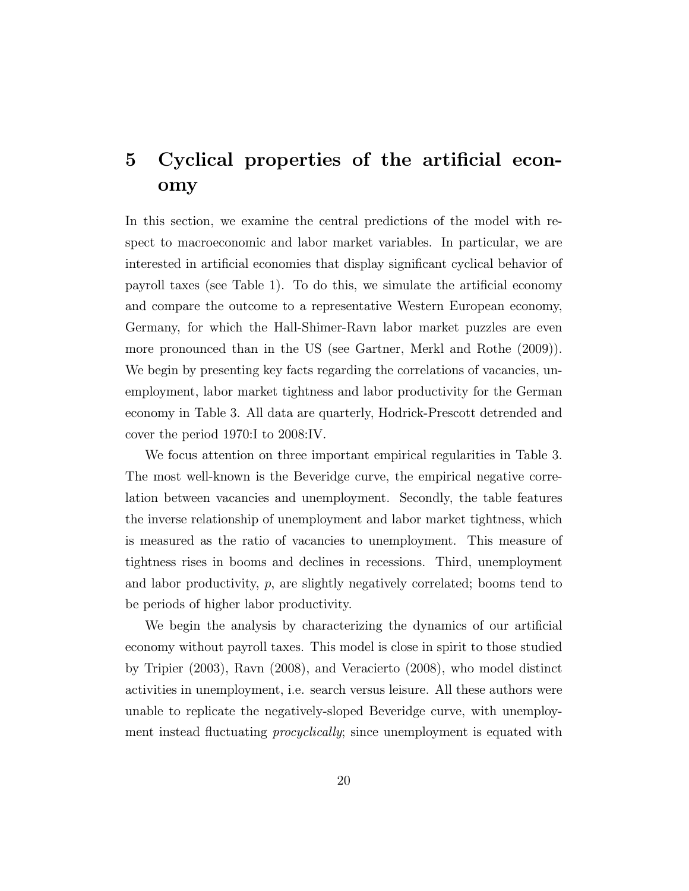# 5 Cyclical properties of the artificial economy

In this section, we examine the central predictions of the model with respect to macroeconomic and labor market variables. In particular, we are interested in articial economies that display signicant cyclical behavior of payroll taxes (see Table 1). To do this, we simulate the artificial economy and compare the outcome to a representative Western European economy, Germany, for which the Hall-Shimer-Ravn labor market puzzles are even more pronounced than in the US (see Gartner, Merkl and Rothe (2009)). We begin by presenting key facts regarding the correlations of vacancies, unemployment, labor market tightness and labor productivity for the German economy in Table 3. All data are quarterly, Hodrick-Prescott detrended and cover the period 1970:I to 2008:IV.

We focus attention on three important empirical regularities in Table 3. The most well-known is the Beveridge curve, the empirical negative correlation between vacancies and unemployment. Secondly, the table features the inverse relationship of unemployment and labor market tightness, which is measured as the ratio of vacancies to unemployment. This measure of tightness rises in booms and declines in recessions. Third, unemployment and labor productivity,  $p$ , are slightly negatively correlated; booms tend to be periods of higher labor productivity.

We begin the analysis by characterizing the dynamics of our artificial economy without payroll taxes. This model is close in spirit to those studied by Tripier (2003), Ravn (2008), and Veracierto (2008), who model distinct activities in unemployment, i.e. search versus leisure. All these authors were unable to replicate the negatively-sloped Beveridge curve, with unemployment instead fluctuating *procyclically*; since unemployment is equated with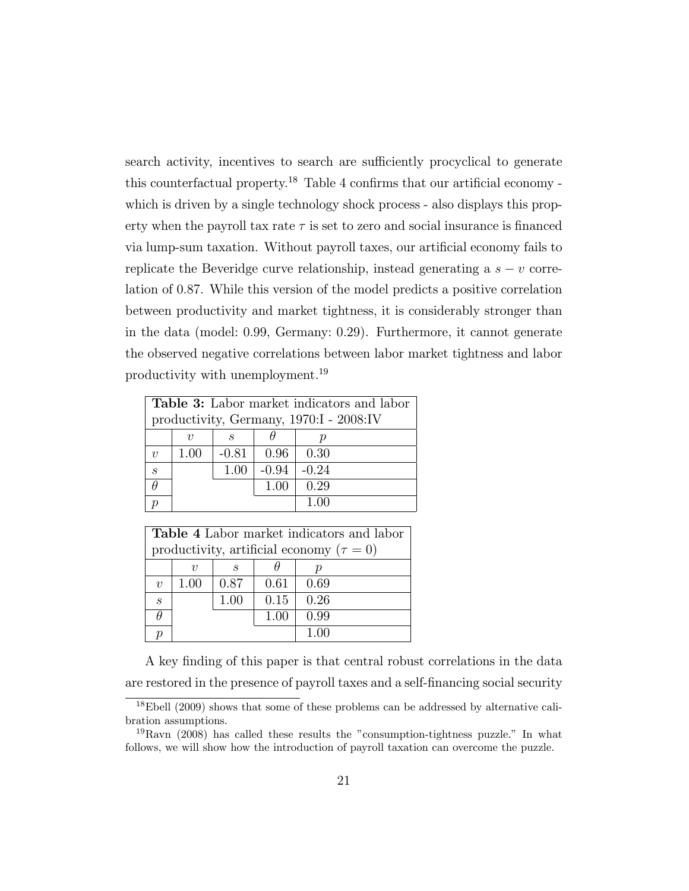search activity, incentives to search are sufficiently procyclical to generate this counterfactual property.<sup>18</sup> Table 4 confirms that our artificial economy which is driven by a single technology shock process - also displays this property when the payroll tax rate  $\tau$  is set to zero and social insurance is financed via lump-sum taxation. Without payroll taxes, our articial economy fails to replicate the Beveridge curve relationship, instead generating a  $s - v$  correlation of 0:87. While this version of the model predicts a positive correlation between productivity and market tightness, it is considerably stronger than in the data (model: 0:99, Germany: 0:29). Furthermore, it cannot generate the observed negative correlations between labor market tightness and labor productivity with unemployment.<sup>19</sup>

|                             | <b>Table 3:</b> Labor market indicators and labor |         |         |                 |  |
|-----------------------------|---------------------------------------------------|---------|---------|-----------------|--|
|                             | productivity, Germany, 1970:I - 2008:IV           |         |         |                 |  |
|                             | $\eta$                                            | S       |         |                 |  |
| $\eta$                      | 1.00                                              | $-0.81$ |         | $0.96 \pm 0.30$ |  |
| $\mathcal{S}_{\mathcal{S}}$ |                                                   | 1.00    | $-0.94$ | $-0.24$         |  |
|                             |                                                   |         | 1.00    | 0.29            |  |
|                             |                                                   |         |         | 1 00            |  |

|                             | <b>Table 4</b> Labor market indicators and labor |      |      |      |  |
|-----------------------------|--------------------------------------------------|------|------|------|--|
|                             | productivity, artificial economy ( $\tau = 0$ )  |      |      |      |  |
|                             | 21                                               | S    |      |      |  |
| $\eta$                      | 1.00                                             | 0.87 | 0.61 | 0.69 |  |
| $\mathcal{S}_{\mathcal{S}}$ |                                                  | 1.00 | 0.15 | 0.26 |  |
|                             |                                                  |      | 1.00 | 0.99 |  |
|                             |                                                  |      |      |      |  |

A key finding of this paper is that central robust correlations in the data are restored in the presence of payroll taxes and a self-nancing social security

<sup>&</sup>lt;sup>18</sup>Ebell (2009) shows that some of these problems can be addressed by alternative calibration assumptions.

<sup>19</sup>Ravn (2008) has called these results the "consumption-tightness puzzle." In what follows, we will show how the introduction of payroll taxation can overcome the puzzle.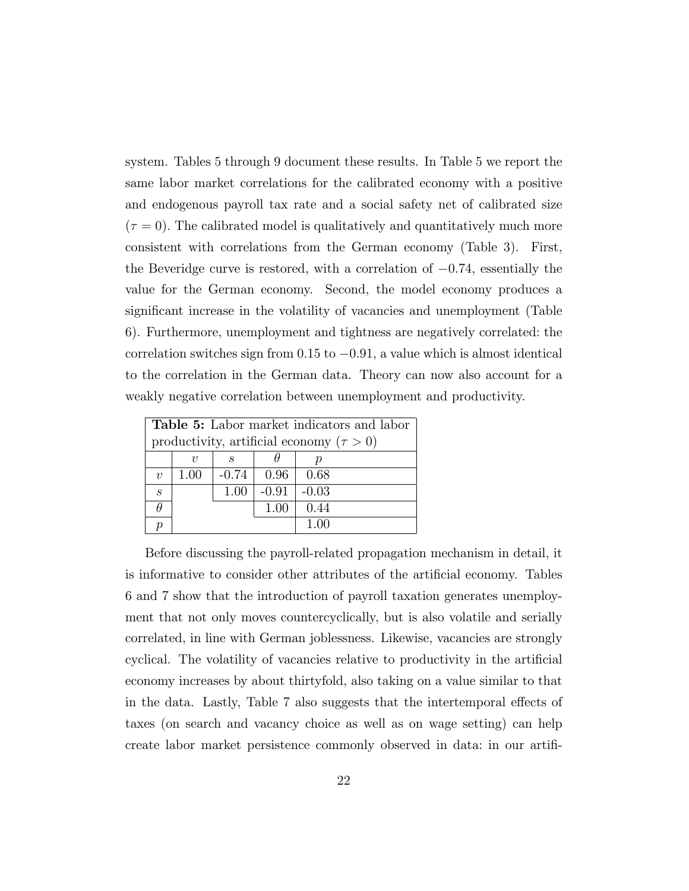system. Tables 5 through 9 document these results. In Table 5 we report the same labor market correlations for the calibrated economy with a positive and endogenous payroll tax rate and a social safety net of calibrated size  $(\tau = 0)$ . The calibrated model is qualitatively and quantitatively much more consistent with correlations from the German economy (Table 3). First, the Beveridge curve is restored, with a correlation of  $-0.74$ , essentially the value for the German economy. Second, the model economy produces a signicant increase in the volatility of vacancies and unemployment (Table 6). Furthermore, unemployment and tightness are negatively correlated: the correlation switches sign from  $0.15$  to  $-0.91$ , a value which is almost identical to the correlation in the German data. Theory can now also account for a weakly negative correlation between unemployment and productivity.

|        | <b>Table 5:</b> Labor market indicators and labor |         |         |         |  |  |
|--------|---------------------------------------------------|---------|---------|---------|--|--|
|        | productivity, artificial economy ( $\tau > 0$ )   |         |         |         |  |  |
|        | $\eta$                                            | S       |         |         |  |  |
| $\eta$ | 1.00                                              | $-0.74$ | 0.96    | -0.68   |  |  |
| S      |                                                   | 1.00    | $-0.91$ | $-0.03$ |  |  |
|        |                                                   |         | 1.00    | 0.44    |  |  |
|        |                                                   |         |         | 1.00    |  |  |

Before discussing the payroll-related propagation mechanism in detail, it is informative to consider other attributes of the artificial economy. Tables 6 and 7 show that the introduction of payroll taxation generates unemployment that not only moves countercyclically, but is also volatile and serially correlated, in line with German joblessness. Likewise, vacancies are strongly cyclical. The volatility of vacancies relative to productivity in the artificial economy increases by about thirtyfold, also taking on a value similar to that in the data. Lastly, Table 7 also suggests that the intertemporal effects of taxes (on search and vacancy choice as well as on wage setting) can help create labor market persistence commonly observed in data: in our artifi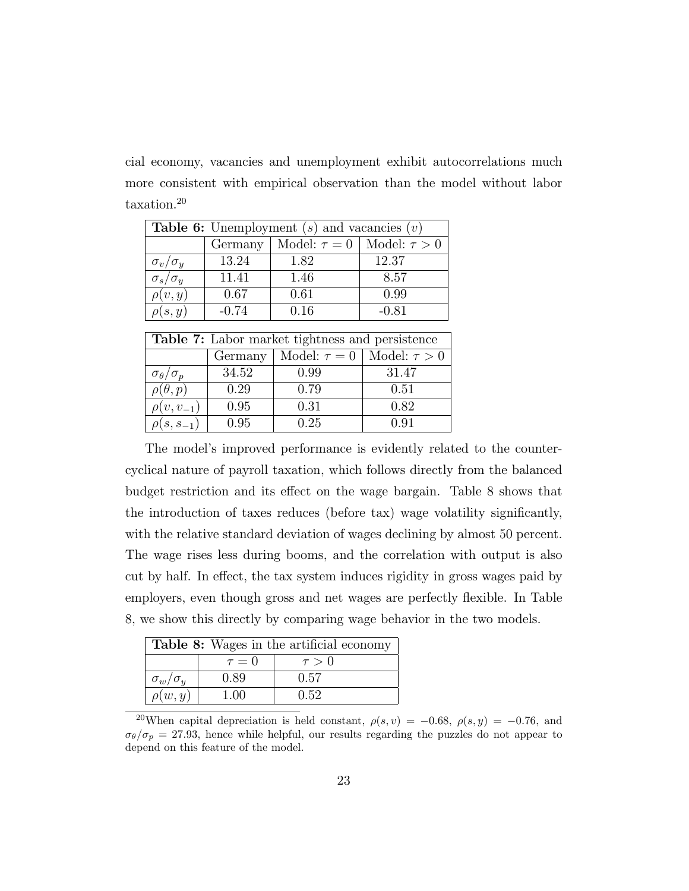cial economy, vacancies and unemployment exhibit autocorrelations much more consistent with empirical observation than the model without labor taxation.<sup>20</sup>

| <b>Table 6:</b> Unemployment $(s)$ and vacancies $(v)$ |         |                                       |         |  |
|--------------------------------------------------------|---------|---------------------------------------|---------|--|
|                                                        | Germany | Model: $\tau = 0$   Model: $\tau > 0$ |         |  |
| $\sigma_v/\sigma_y$                                    | 13.24   | 1.82                                  | 12.37   |  |
| $\sigma_s/\sigma_y$                                    | 11.41   | 1.46                                  | 8.57    |  |
| $\rho(v, y)$                                           | 0.67    | 0.61                                  | 0.99    |  |
| $\rho(s,y)$                                            | $-0.74$ | 0.16                                  | $-0.81$ |  |

| <b>Table 7:</b> Labor market tightness and persistence |         |                                       |       |  |
|--------------------------------------------------------|---------|---------------------------------------|-------|--|
|                                                        | Germany | Model: $\tau = 0$   Model: $\tau > 0$ |       |  |
| $\sigma_{\theta}/\sigma_{p}$                           | 34.52   | 0.99                                  | 31.47 |  |
| $\rho(\theta, p)$                                      | 0.29    | 0.79                                  | 0.51  |  |
| $\rho(v, v_{-1})$                                      | 0.95    | 0.31                                  | 0.82  |  |
| $\rho(s,s_{-1})$                                       | 0.95    | 0.25                                  | 0.91  |  |

The model's improved performance is evidently related to the countercyclical nature of payroll taxation, which follows directly from the balanced budget restriction and its effect on the wage bargain. Table 8 shows that the introduction of taxes reduces (before tax) wage volatility signicantly, with the relative standard deviation of wages declining by almost 50 percent. The wage rises less during booms, and the correlation with output is also cut by half. In effect, the tax system induces rigidity in gross wages paid by employers, even though gross and net wages are perfectly flexible. In Table 8, we show this directly by comparing wage behavior in the two models.

| <b>Table 8:</b> Wages in the artificial economy |            |            |  |  |
|-------------------------------------------------|------------|------------|--|--|
|                                                 | $\tau = 0$ | $\tau > 0$ |  |  |
| $\sigma_w/\sigma_y$                             | 0.89       | 0.57       |  |  |
| $\rho(w, y)$                                    | 1.00       | 0.52       |  |  |

<sup>&</sup>lt;sup>20</sup>When capital depreciation is held constant,  $\rho(s, v) = -0.68$ ,  $\rho(s, y) = -0.76$ , and  $\sigma_{\theta}/\sigma_{p} = 27.93$ , hence while helpful, our results regarding the puzzles do not appear to depend on this feature of the model.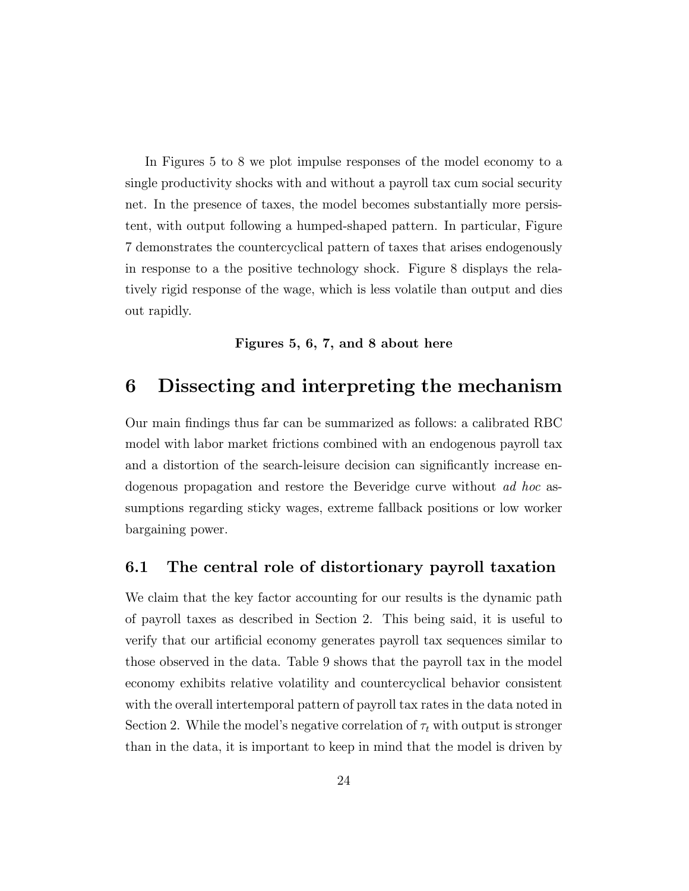In Figures 5 to 8 we plot impulse responses of the model economy to a single productivity shocks with and without a payroll tax cum social security net. In the presence of taxes, the model becomes substantially more persistent, with output following a humped-shaped pattern. In particular, Figure 7 demonstrates the countercyclical pattern of taxes that arises endogenously in response to a the positive technology shock. Figure 8 displays the relatively rigid response of the wage, which is less volatile than output and dies out rapidly.

#### Figures 5, 6, 7, and 8 about here

### 6 Dissecting and interpreting the mechanism

Our main findings thus far can be summarized as follows: a calibrated RBC model with labor market frictions combined with an endogenous payroll tax and a distortion of the search-leisure decision can signicantly increase endogenous propagation and restore the Beveridge curve without ad hoc assumptions regarding sticky wages, extreme fallback positions or low worker bargaining power.

#### 6.1 The central role of distortionary payroll taxation

We claim that the key factor accounting for our results is the dynamic path of payroll taxes as described in Section 2. This being said, it is useful to verify that our articial economy generates payroll tax sequences similar to those observed in the data. Table 9 shows that the payroll tax in the model economy exhibits relative volatility and countercyclical behavior consistent with the overall intertemporal pattern of payroll tax rates in the data noted in Section 2. While the model's negative correlation of  $\tau_t$  with output is stronger than in the data, it is important to keep in mind that the model is driven by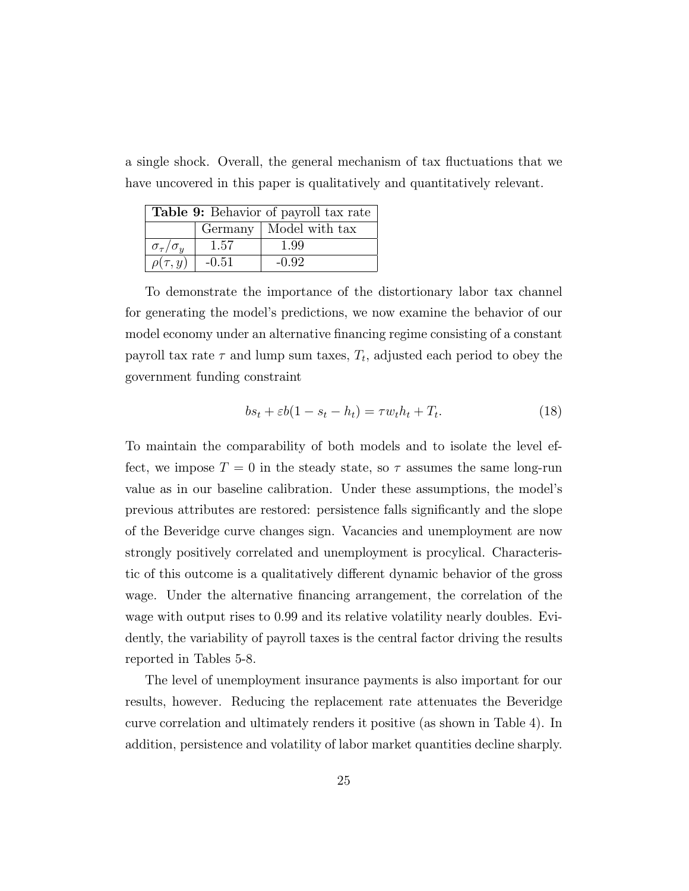a single shock. Overall, the general mechanism of tax 
uctuations that we have uncovered in this paper is qualitatively and quantitatively relevant.

| Table 9: Behavior of payroll tax rate |         |                          |  |
|---------------------------------------|---------|--------------------------|--|
|                                       |         | Germany   Model with tax |  |
| $\sigma_{\tau}/\sigma_{u}$            | 1.57    | 1.99                     |  |
| $\rho(\tau, y)$                       | $-0.51$ | $-0.92$                  |  |

To demonstrate the importance of the distortionary labor tax channel for generating the model's predictions, we now examine the behavior of our model economy under an alternative financing regime consisting of a constant payroll tax rate  $\tau$  and lump sum taxes,  $T_t$ , adjusted each period to obey the government funding constraint

$$
bs_t + \varepsilon b(1 - s_t - h_t) = \tau w_t h_t + T_t.
$$
\n(18)

To maintain the comparability of both models and to isolate the level effect, we impose  $T = 0$  in the steady state, so  $\tau$  assumes the same long-run value as in our baseline calibration. Under these assumptions, the model's previous attributes are restored: persistence falls signicantly and the slope of the Beveridge curve changes sign. Vacancies and unemployment are now strongly positively correlated and unemployment is procylical. Characteristic of this outcome is a qualitatively different dynamic behavior of the gross wage. Under the alternative financing arrangement, the correlation of the wage with output rises to 0:99 and its relative volatility nearly doubles. Evidently, the variability of payroll taxes is the central factor driving the results reported in Tables 5-8.

The level of unemployment insurance payments is also important for our results, however. Reducing the replacement rate attenuates the Beveridge curve correlation and ultimately renders it positive (as shown in Table 4). In addition, persistence and volatility of labor market quantities decline sharply.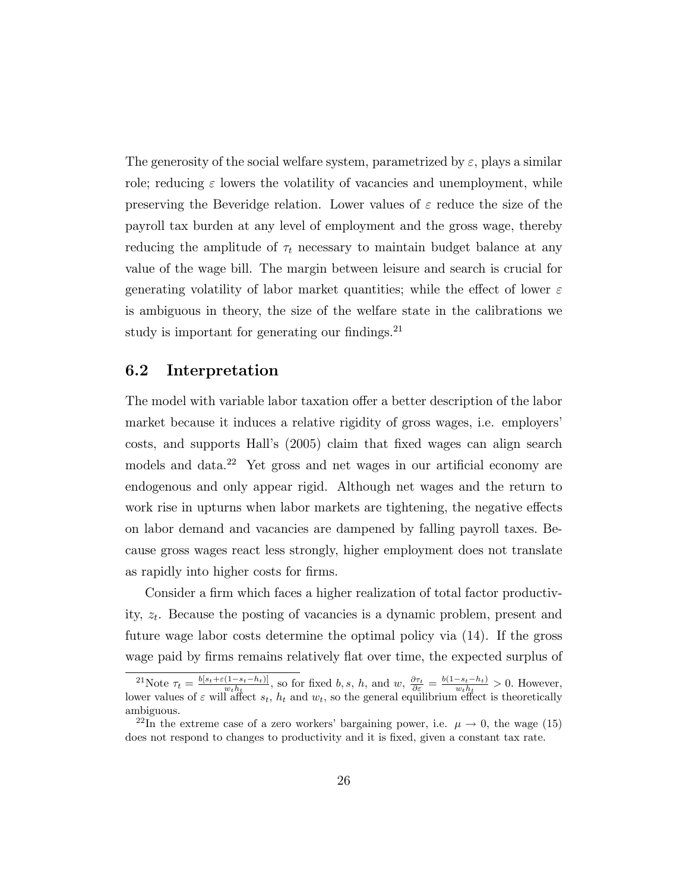The generosity of the social welfare system, parametrized by  $\varepsilon$ , plays a similar role; reducing  $\varepsilon$  lowers the volatility of vacancies and unemployment, while preserving the Beveridge relation. Lower values of  $\varepsilon$  reduce the size of the payroll tax burden at any level of employment and the gross wage, thereby reducing the amplitude of  $\tau_t$  necessary to maintain budget balance at any value of the wage bill. The margin between leisure and search is crucial for generating volatility of labor market quantities; while the effect of lower  $\varepsilon$ is ambiguous in theory, the size of the welfare state in the calibrations we study is important for generating our findings. $^{21}$ 

#### 6.2 Interpretation

The model with variable labor taxation offer a better description of the labor market because it induces a relative rigidity of gross wages, i.e. employers' costs, and supports Hall's (2005) claim that fixed wages can align search models and data.<sup>22</sup> Yet gross and net wages in our artificial economy are endogenous and only appear rigid. Although net wages and the return to work rise in upturns when labor markets are tightening, the negative effects on labor demand and vacancies are dampened by falling payroll taxes. Because gross wages react less strongly, higher employment does not translate as rapidly into higher costs for firms.

Consider a firm which faces a higher realization of total factor productivity,  $z_t$ . Because the posting of vacancies is a dynamic problem, present and future wage labor costs determine the optimal policy via (14). If the gross wage paid by firms remains relatively flat over time, the expected surplus of

<sup>&</sup>lt;sup>21</sup>Note  $\tau_t = \frac{b[s_t + \varepsilon(1 - s_t - h_t)]}{w_t h_t}$ , so for fixed b, s, h, and  $w, \frac{\partial \tau_t}{\partial \varepsilon} = \frac{b(1 - s_t - h_t)}{w_t h_t} > 0$ . However, lower values of  $\varepsilon$  will affect  $s_t$ ,  $h_t$  and  $w_t$ , so the general equilibrium effect is theoretically ambiguous.

<sup>&</sup>lt;sup>22</sup>In the extreme case of a zero workers' bargaining power, i.e.  $\mu \to 0$ , the wage (15) does not respond to changes to productivity and it is fixed, given a constant tax rate.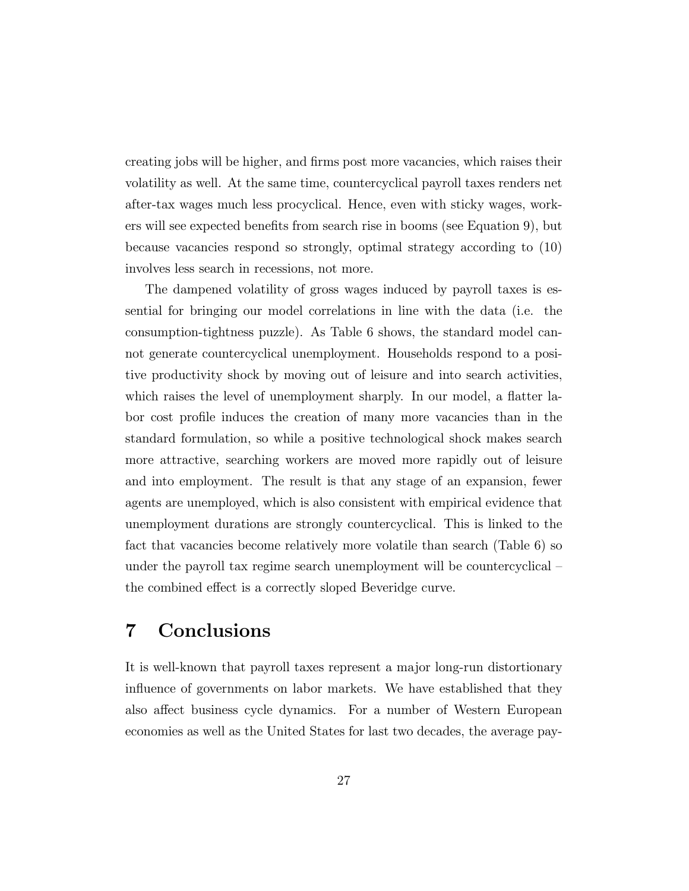creating jobs will be higher, and firms post more vacancies, which raises their volatility as well. At the same time, countercyclical payroll taxes renders net after-tax wages much less procyclical. Hence, even with sticky wages, workers will see expected benets from search rise in booms (see Equation 9), but because vacancies respond so strongly, optimal strategy according to (10) involves less search in recessions, not more.

The dampened volatility of gross wages induced by payroll taxes is essential for bringing our model correlations in line with the data (i.e. the consumption-tightness puzzle). As Table 6 shows, the standard model cannot generate countercyclical unemployment. Households respond to a positive productivity shock by moving out of leisure and into search activities, which raises the level of unemployment sharply. In our model, a flatter labor cost prole induces the creation of many more vacancies than in the standard formulation, so while a positive technological shock makes search more attractive, searching workers are moved more rapidly out of leisure and into employment. The result is that any stage of an expansion, fewer agents are unemployed, which is also consistent with empirical evidence that unemployment durations are strongly countercyclical. This is linked to the fact that vacancies become relatively more volatile than search (Table 6) so under the payroll tax regime search unemployment will be countercyclical  $$ the combined effect is a correctly sloped Beveridge curve.

### 7 Conclusions

It is well-known that payroll taxes represent a major long-run distortionary influence of governments on labor markets. We have established that they also affect business cycle dynamics. For a number of Western European economies as well as the United States for last two decades, the average pay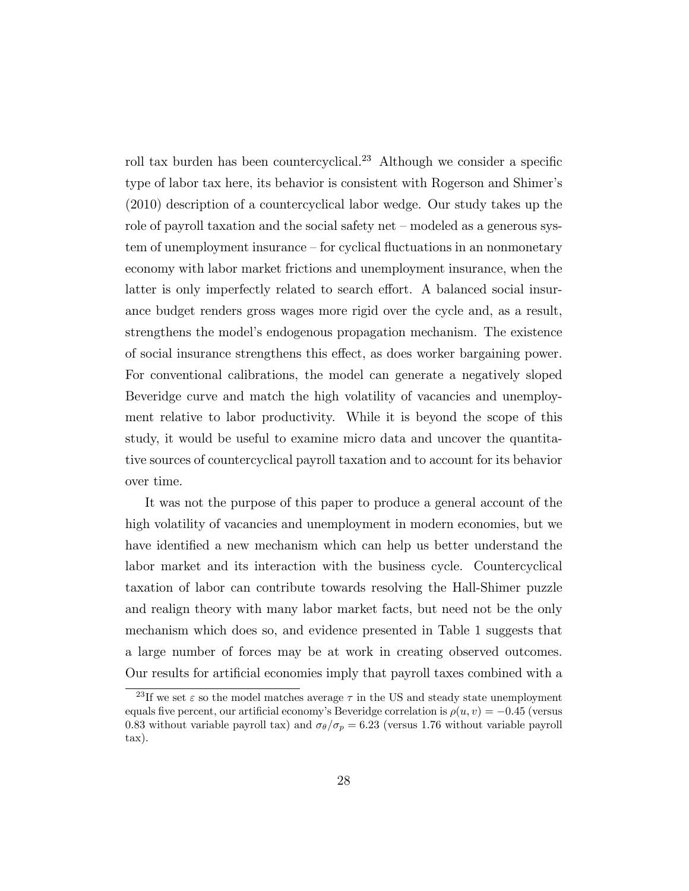roll tax burden has been countercyclical.<sup>23</sup> Although we consider a specific type of labor tax here, its behavior is consistent with Rogerson and Shimer's (2010) description of a countercyclical labor wedge. Our study takes up the role of payroll taxation and the social safety net  $-$  modeled as a generous sys $tem$  of unemployment insurance  $-$  for cyclical fluctuations in an nonmonetary economy with labor market frictions and unemployment insurance, when the latter is only imperfectly related to search effort. A balanced social insurance budget renders gross wages more rigid over the cycle and, as a result, strengthens the model's endogenous propagation mechanism. The existence of social insurance strengthens this effect, as does worker bargaining power. For conventional calibrations, the model can generate a negatively sloped Beveridge curve and match the high volatility of vacancies and unemployment relative to labor productivity. While it is beyond the scope of this study, it would be useful to examine micro data and uncover the quantitative sources of countercyclical payroll taxation and to account for its behavior over time.

It was not the purpose of this paper to produce a general account of the high volatility of vacancies and unemployment in modern economies, but we have identified a new mechanism which can help us better understand the labor market and its interaction with the business cycle. Countercyclical taxation of labor can contribute towards resolving the Hall-Shimer puzzle and realign theory with many labor market facts, but need not be the only mechanism which does so, and evidence presented in Table 1 suggests that a large number of forces may be at work in creating observed outcomes. Our results for articial economies imply that payroll taxes combined with a

<sup>&</sup>lt;sup>23</sup>If we set  $\varepsilon$  so the model matches average  $\tau$  in the US and steady state unemployment equals five percent, our artificial economy's Beveridge correlation is  $\rho(u, v) = -0.45$  (versus 0.83 without variable payroll tax) and  $\sigma_{\theta}/\sigma_p = 6.23$  (versus 1.76 without variable payroll tax).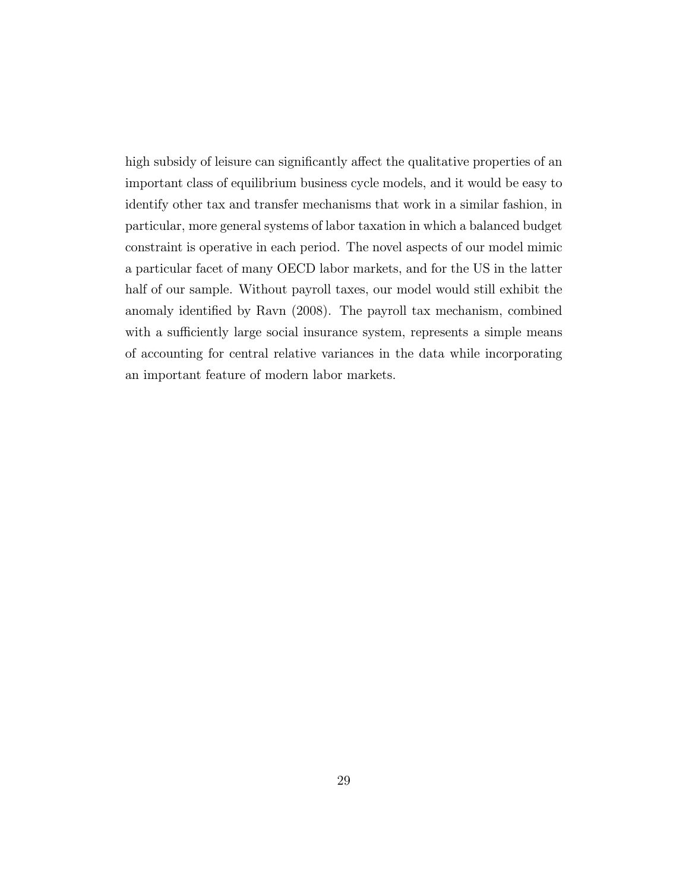high subsidy of leisure can significantly affect the qualitative properties of an important class of equilibrium business cycle models, and it would be easy to identify other tax and transfer mechanisms that work in a similar fashion, in particular, more general systems of labor taxation in which a balanced budget constraint is operative in each period. The novel aspects of our model mimic a particular facet of many OECD labor markets, and for the US in the latter half of our sample. Without payroll taxes, our model would still exhibit the anomaly identied by Ravn (2008). The payroll tax mechanism, combined with a sufficiently large social insurance system, represents a simple means of accounting for central relative variances in the data while incorporating an important feature of modern labor markets.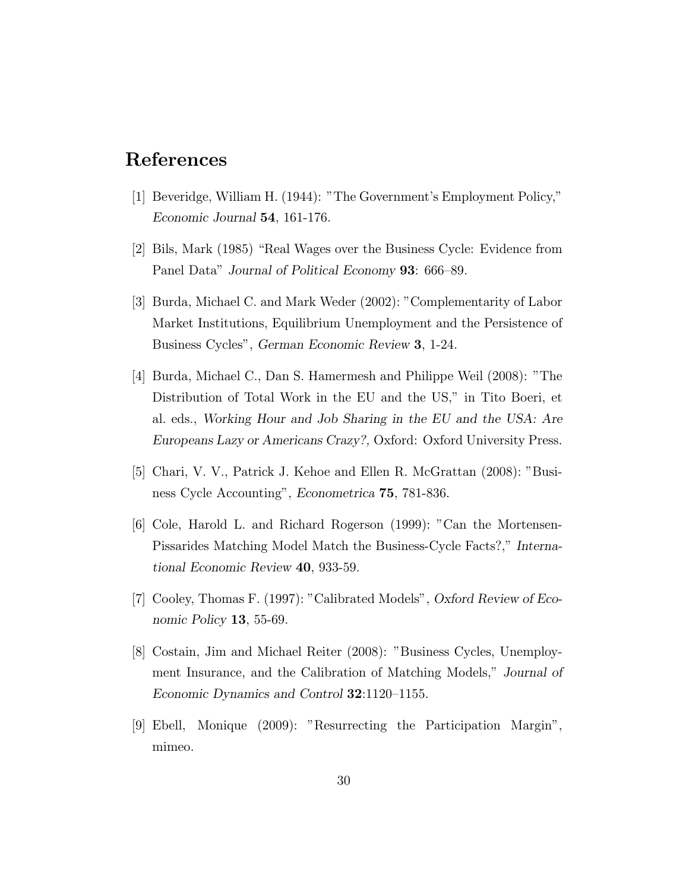### References

- [1] Beveridge, William H. (1944): "The Government's Employment Policy," Economic Journal 54, 161-176.
- $[2]$  Bils, Mark (1985) "Real Wages over the Business Cycle: Evidence from Panel Data" Journal of Political Economy 93: 666–89.
- [3] Burda, Michael C. and Mark Weder (2002): "Complementarity of Labor Market Institutions, Equilibrium Unemployment and the Persistence of Business Cycles", German Economic Review 3, 1-24.
- [4] Burda, Michael C., Dan S. Hamermesh and Philippe Weil (2008): "The Distribution of Total Work in the EU and the US," in Tito Boeri, et al. eds., Working Hour and Job Sharing in the EU and the USA: Are Europeans Lazy or Americans Crazy?, Oxford: Oxford University Press.
- [5] Chari, V. V., Patrick J. Kehoe and Ellen R. McGrattan (2008): "Business Cycle Accounting", Econometrica 75, 781-836.
- [6] Cole, Harold L. and Richard Rogerson (1999): "Can the Mortensen-Pissarides Matching Model Match the Business-Cycle Facts?," International Economic Review 40, 933-59.
- [7] Cooley, Thomas F. (1997): "Calibrated Models", Oxford Review of Economic Policy 13, 55-69.
- [8] Costain, Jim and Michael Reiter (2008): "Business Cycles, Unemployment Insurance, and the Calibration of Matching Models," Journal of Economic Dynamics and Control  $32:1120-1155$ .
- [9] Ebell, Monique (2009): "Resurrecting the Participation Margin", mimeo.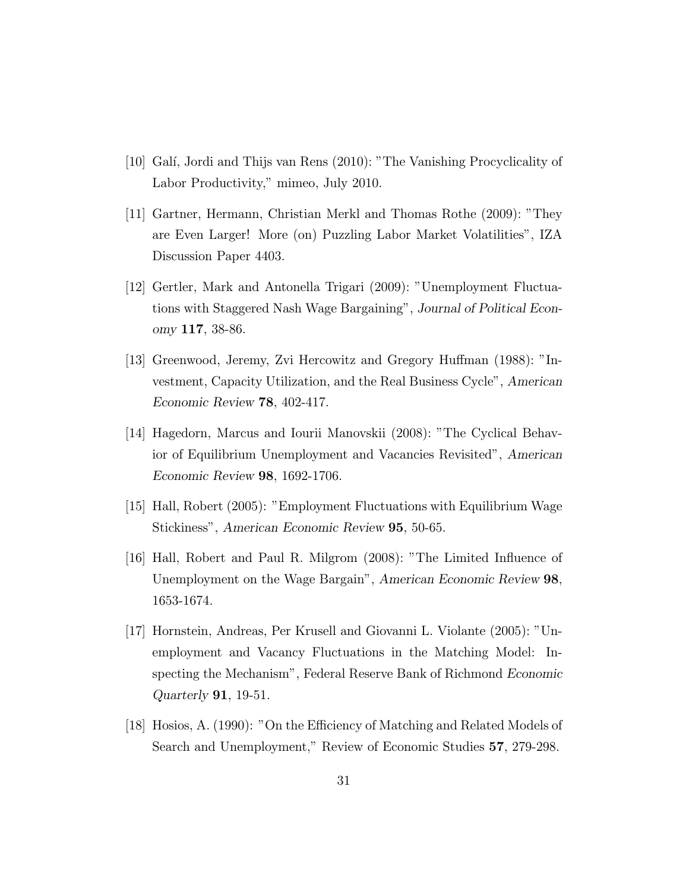- [10] Gal, Jordi and Thijs van Rens (2010): "The Vanishing Procyclicality of Labor Productivity," mimeo, July 2010.
- [11] Gartner, Hermann, Christian Merkl and Thomas Rothe (2009): "They are Even Larger! More (on) Puzzling Labor Market Volatilities", IZA Discussion Paper 4403.
- [12] Gertler, Mark and Antonella Trigari (2009): "Unemployment Fluctuations with Staggered Nash Wage Bargaining", Journal of Political Economy 117, 38-86.
- [13] Greenwood, Jeremy, Zvi Hercowitz and Gregory Human (1988): "Investment, Capacity Utilization, and the Real Business Cycle", American Economic Review 78, 402-417.
- [14] Hagedorn, Marcus and Iourii Manovskii (2008): "The Cyclical Behavior of Equilibrium Unemployment and Vacancies Revisited", American Economic Review 98, 1692-1706.
- [15] Hall, Robert (2005): "Employment Fluctuations with Equilibrium Wage Stickiness", American Economic Review 95, 50-65.
- [16] Hall, Robert and Paul R. Milgrom (2008): "The Limited In
uence of Unemployment on the Wage Bargain", American Economic Review 98, 1653-1674.
- [17] Hornstein, Andreas, Per Krusell and Giovanni L. Violante (2005): "Unemployment and Vacancy Fluctuations in the Matching Model: Inspecting the Mechanism", Federal Reserve Bank of Richmond Economic Quarterly 91, 19-51.
- [18] Hosios, A. (1990): "On the Efficiency of Matching and Related Models of Search and Unemployment," Review of Economic Studies 57, 279-298.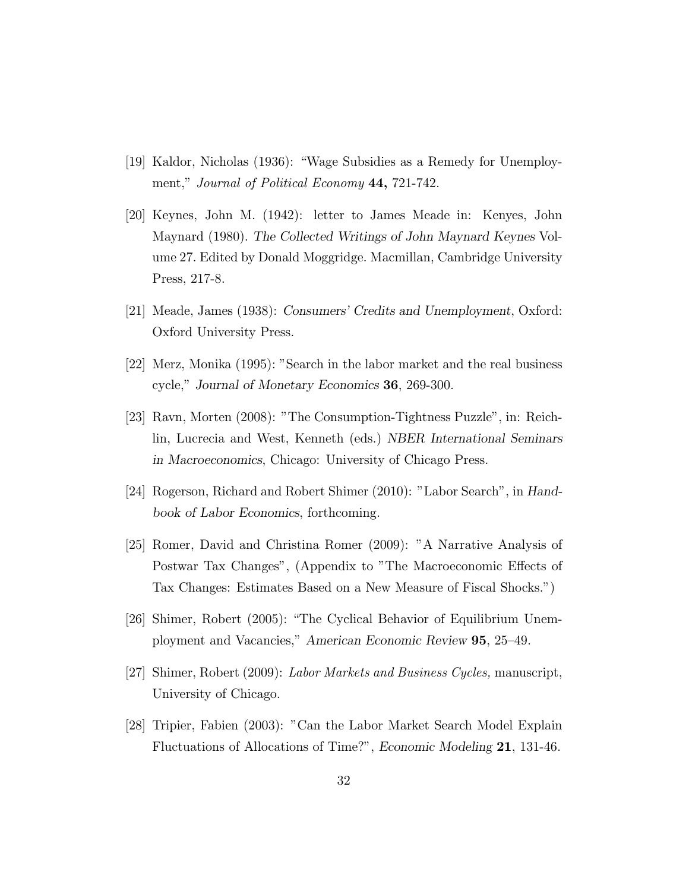- [19] Kaldor, Nicholas (1936): \Wage Subsidies as a Remedy for Unemployment," Journal of Political Economy 44, 721-742.
- [20] Keynes, John M. (1942): letter to James Meade in: Kenyes, John Maynard (1980). The Collected Writings of John Maynard Keynes Volume 27. Edited by Donald Moggridge. Macmillan, Cambridge University Press, 217-8.
- [21] Meade, James (1938): Consumers' Credits and Unemployment, Oxford: Oxford University Press.
- [22] Merz, Monika (1995): "Search in the labor market and the real business cycle," Journal of Monetary Economics 36, 269-300.
- [23] Ravn, Morten (2008): "The Consumption-Tightness Puzzle", in: Reichlin, Lucrecia and West, Kenneth (eds.) NBER International Seminars in Macroeconomics, Chicago: University of Chicago Press.
- [24] Rogerson, Richard and Robert Shimer (2010): "Labor Search", in Handbook of Labor Economics, forthcoming.
- [25] Romer, David and Christina Romer (2009): "A Narrative Analysis of Postwar Tax Changes", (Appendix to "The Macroeconomic Effects of Tax Changes: Estimates Based on a New Measure of Fiscal Shocks.")
- [26] Shimer, Robert (2005): \The Cyclical Behavior of Equilibrium Unemployment and Vacancies," American Economic Review 95, 25-49.
- [27] Shimer, Robert (2009): Labor Markets and Business Cycles, manuscript, University of Chicago.
- [28] Tripier, Fabien (2003): "Can the Labor Market Search Model Explain Fluctuations of Allocations of Time?", Economic Modeling 21, 131-46.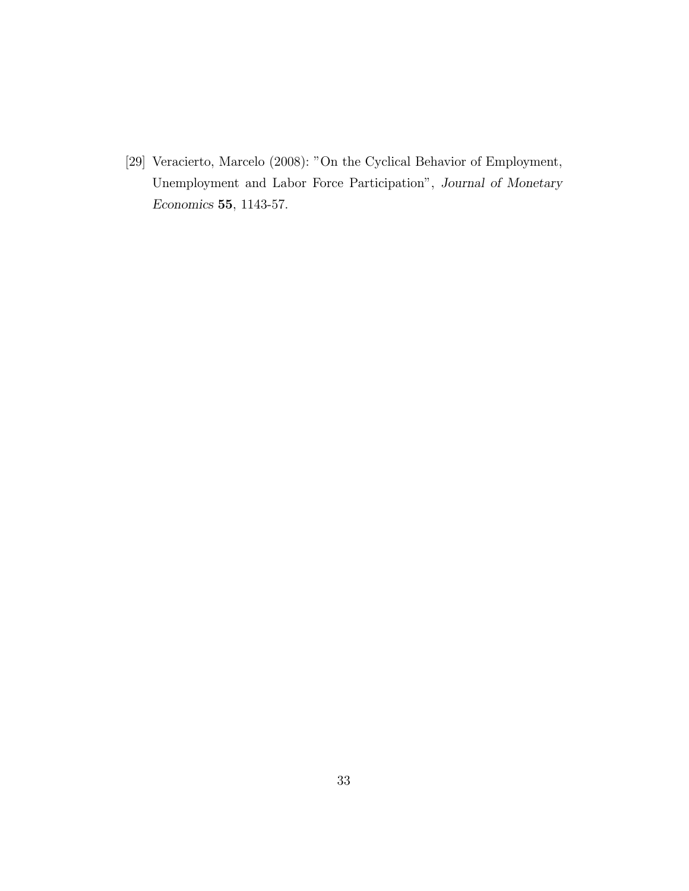[29] Veracierto, Marcelo (2008): "On the Cyclical Behavior of Employment, Unemployment and Labor Force Participation", Journal of Monetary Economics 55, 1143-57.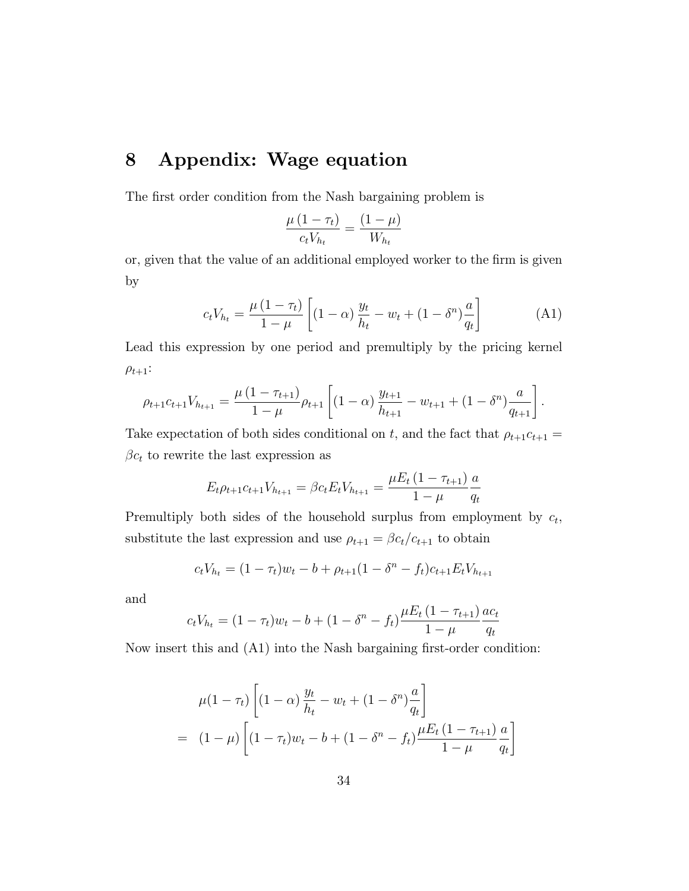# 8 Appendix: Wage equation

The first order condition from the Nash bargaining problem is

$$
\frac{\mu(1-\tau_t)}{c_t V_{h_t}} = \frac{(1-\mu)}{W_{h_t}}
$$

or, given that the value of an additional employed worker to the firm is given by

$$
c_t V_{h_t} = \frac{\mu (1 - \tau_t)}{1 - \mu} \left[ (1 - \alpha) \frac{y_t}{h_t} - w_t + (1 - \delta^n) \frac{a}{q_t} \right]
$$
 (A1)

Lead this expression by one period and premultiply by the pricing kernel  $\rho_{t+1}:$ 

$$
\rho_{t+1}c_{t+1}V_{h_{t+1}} = \frac{\mu(1 - \tau_{t+1})}{1 - \mu}\rho_{t+1}\left[ (1 - \alpha)\frac{y_{t+1}}{h_{t+1}} - w_{t+1} + (1 - \delta^{n})\frac{a}{q_{t+1}} \right].
$$

Take expectation of both sides conditional on t, and the fact that  $\rho_{t+1}c_{t+1} =$  $\beta c_t$  to rewrite the last expression as

$$
E_t \rho_{t+1} c_{t+1} V_{h_{t+1}} = \beta c_t E_t V_{h_{t+1}} = \frac{\mu E_t (1 - \tau_{t+1})}{1 - \mu} \frac{a}{q_t}
$$

Premultiply both sides of the household surplus from employment by  $c_t$ , substitute the last expression and use  $\rho_{t+1} = \beta c_t/c_{t+1}$  to obtain

$$
c_t V_{h_t} = (1 - \tau_t) w_t - b + \rho_{t+1} (1 - \delta^n - f_t) c_{t+1} E_t V_{h_{t+1}}
$$

and

$$
c_t V_{h_t} = (1 - \tau_t) w_t - b + (1 - \delta^n - f_t) \frac{\mu E_t (1 - \tau_{t+1})}{1 - \mu} \frac{a c_t}{q_t}
$$

Now insert this and  $(A1)$  into the Nash bargaining first-order condition:

$$
\mu(1 - \tau_t) \left[ (1 - \alpha) \frac{y_t}{h_t} - w_t + (1 - \delta^n) \frac{a}{q_t} \right]
$$
  
= 
$$
(1 - \mu) \left[ (1 - \tau_t) w_t - b + (1 - \delta^n - f_t) \frac{\mu E_t (1 - \tau_{t+1})}{1 - \mu} \frac{a}{q_t} \right]
$$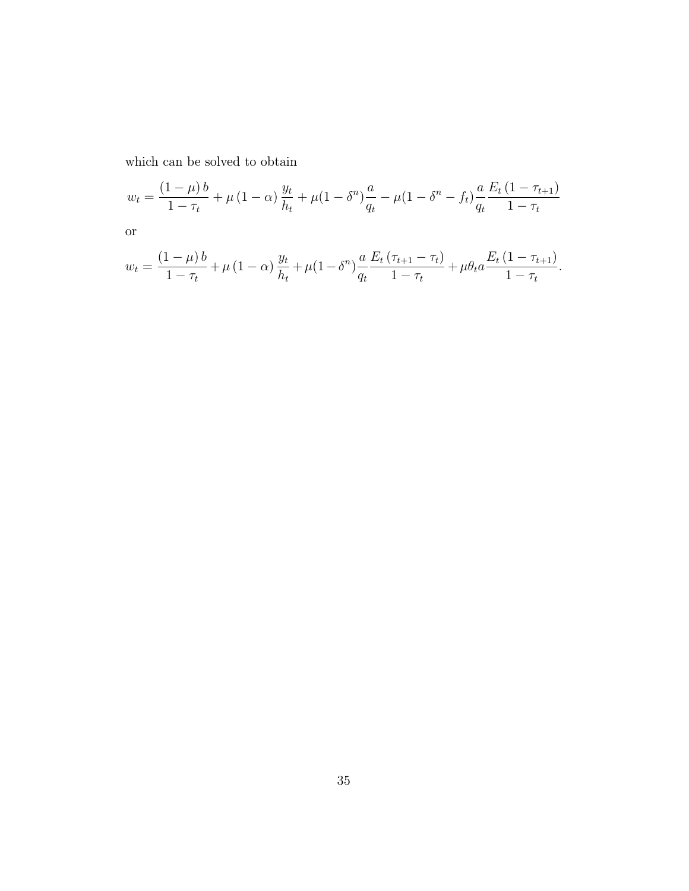which can be solved to obtain

$$
w_t = \frac{(1 - \mu)b}{1 - \tau_t} + \mu(1 - \alpha)\frac{y_t}{h_t} + \mu(1 - \delta^n)\frac{a}{q_t} - \mu(1 - \delta^n - f_t)\frac{a}{q_t}\frac{E_t(1 - \tau_{t+1})}{1 - \tau_t}
$$

or

$$
w_t = \frac{(1-\mu)b}{1-\tau_t} + \mu(1-\alpha)\frac{y_t}{h_t} + \mu(1-\delta^n)\frac{a}{q_t}\frac{E_t(\tau_{t+1}-\tau_t)}{1-\tau_t} + \mu\theta_t a \frac{E_t(1-\tau_{t+1})}{1-\tau_t}.
$$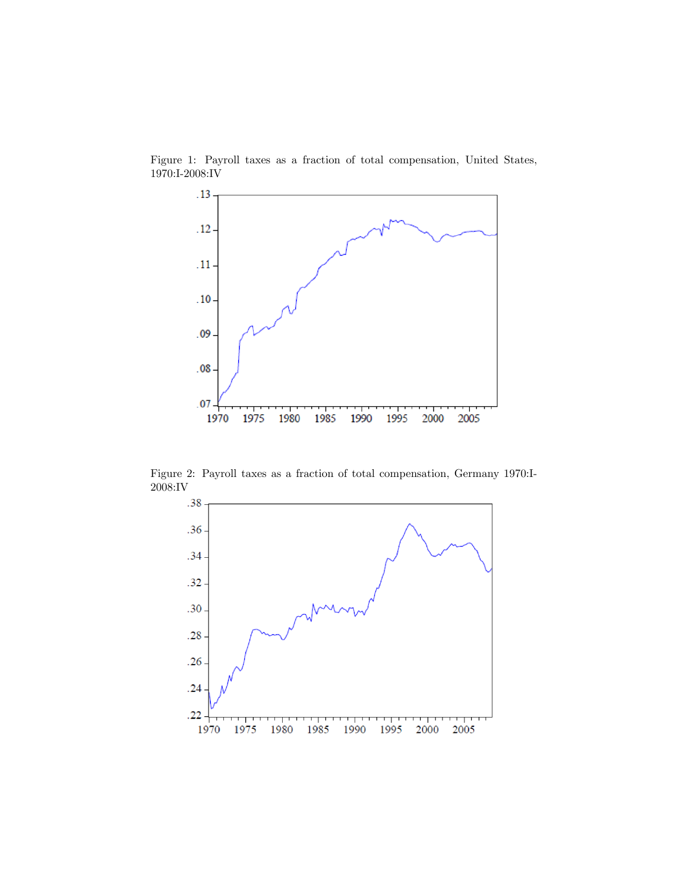

Figure 1: Payroll taxes as a fraction of total compensation, United States, 1970:I-2008:IV

Figure 2: Payroll taxes as a fraction of total compensation, Germany 1970:I-2008:IV

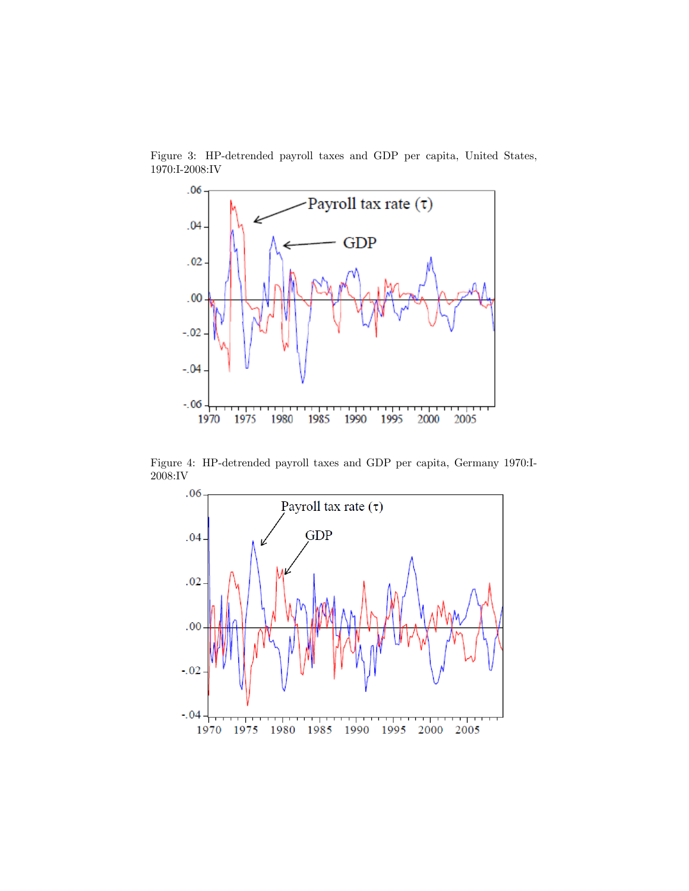

Figure 3: HP-detrended payroll taxes and GDP per capita, United States, 1970:I-2008:IV

Figure 4: HP-detrended payroll taxes and GDP per capita, Germany 1970:I-2008:IV

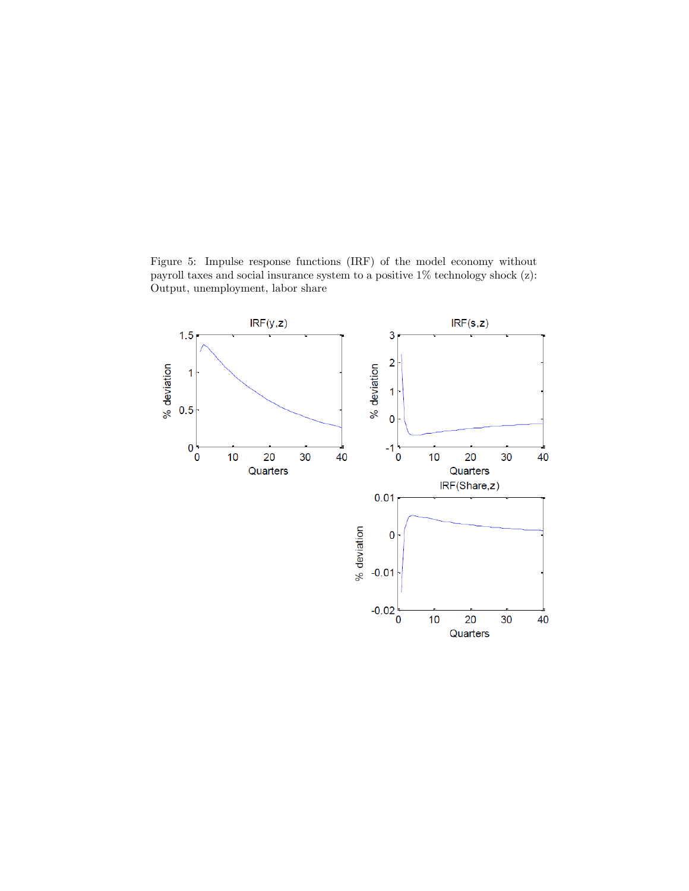Figure 5: Impulse response functions (IRF) of the model economy without payroll taxes and social insurance system to a positive 1% technology shock (z): Output, unemployment, labor share

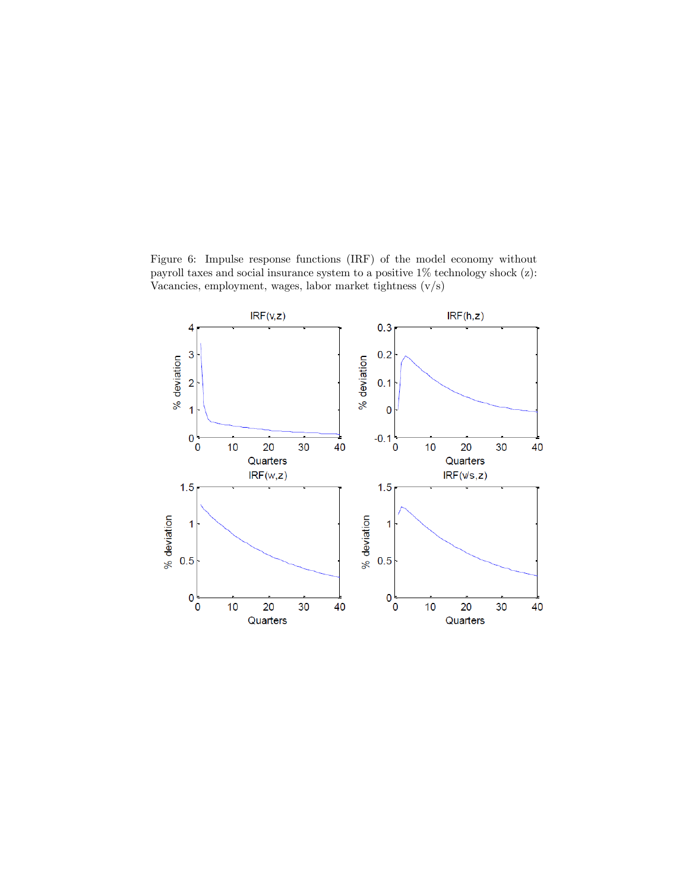Figure 6: Impulse response functions (IRF) of the model economy without payroll taxes and social insurance system to a positive 1% technology shock (z): Vacancies, employment, wages, labor market tightness (v/s)

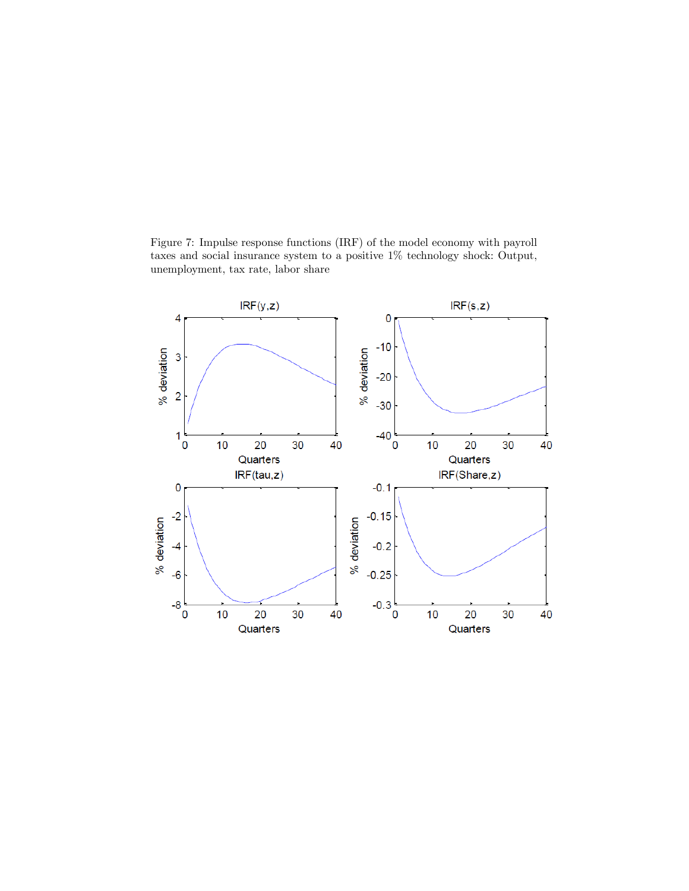Figure 7: Impulse response functions (IRF) of the model economy with payroll taxes and social insurance system to a positive 1% technology shock: Output, unemployment, tax rate, labor share